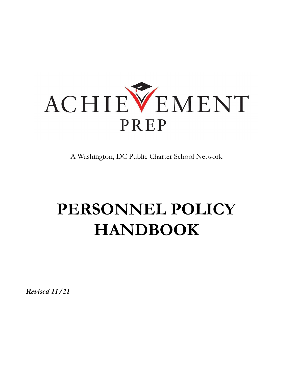

A Washington, DC Public Charter School Network

# **PERSONNEL POLICY HANDBOOK**

*Revised 11/21*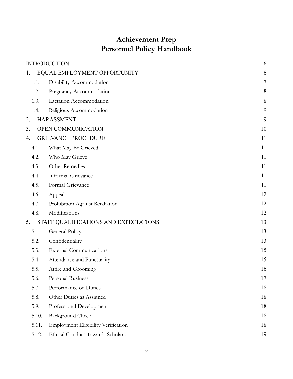# **Achievement Prep Personnel Policy Handbook**

|       | <b>INTRODUCTION</b>                     | 6      |
|-------|-----------------------------------------|--------|
| 1.    | EQUAL EMPLOYMENT OPPORTUNITY            | 6      |
| 1.1.  | Disability Accommodation                | $\tau$ |
| 1.2.  | Pregnancy Accommodation                 | 8      |
| 1.3.  | Lactation Accommodation                 | 8      |
| 1.4.  | Religious Accommodation                 | 9      |
| 2.    | <b>HARASSMENT</b>                       | 9      |
| 3.    | OPEN COMMUNICATION                      | 10     |
| 4.    | <b>GRIEVANCE PROCEDURE</b>              | 11     |
| 4.1.  | What May Be Grieved                     | 11     |
| 4.2.  | Who May Grieve                          | 11     |
| 4.3.  | Other Remedies                          | 11     |
| 4.4.  | Informal Grievance                      | 11     |
| 4.5.  | Formal Grievance                        | 11     |
| 4.6.  | Appeals                                 | 12     |
| 4.7.  | Prohibition Against Retaliation         | 12     |
| 4.8.  | Modifications                           | 12     |
| 5.    | STAFF QUALIFICATIONS AND EXPECTATIONS   | 13     |
| 5.1.  | General Policy                          | 13     |
| 5.2.  | Confidentiality                         | 13     |
| 5.3.  | <b>External Communications</b>          | 15     |
| 5.4.  | Attendance and Punctuality              | 15     |
| 5.5.  | Attire and Grooming                     | 16     |
| 5.6.  | Personal Business                       | 17     |
| 5.7.  | Performance of Duties                   | 18     |
| 5.8.  | Other Duties as Assigned                | 18     |
| 5.9.  | Professional Development                | 18     |
| 5.10. | <b>Background Check</b>                 | 18     |
| 5.11. | Employment Eligibility Verification     | 18     |
| 5.12. | <b>Ethical Conduct Towards Scholars</b> | 19     |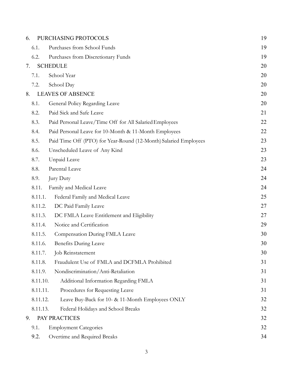| 6. |                 | PURCHASING PROTOCOLS                                             | 19 |
|----|-----------------|------------------------------------------------------------------|----|
|    | 6.1.            | Purchases from School Funds                                      | 19 |
|    | 6.2.            | Purchases from Discretionary Funds                               | 19 |
| 7. | <b>SCHEDULE</b> |                                                                  | 20 |
|    | 7.1.            | School Year                                                      | 20 |
|    | 7.2.            | School Day                                                       | 20 |
| 8. |                 | <b>LEAVES OF ABSENCE</b>                                         | 20 |
|    | 8.1.            | General Policy Regarding Leave                                   | 20 |
|    | 8.2.            | Paid Sick and Safe Leave                                         | 21 |
|    | 8.3.            | Paid Personal Leave/Time Off for All Salaried Employees          | 22 |
|    | 8.4.            | Paid Personal Leave for 10-Month & 11-Month Employees            | 22 |
|    | 8.5.            | Paid Time Off (PTO) for Year-Round (12-Month) Salaried Employees | 23 |
|    | 8.6.            | Unscheduled Leave of Any Kind                                    | 23 |
|    | 8.7.            | Unpaid Leave                                                     | 23 |
|    | 8.8.            | Parental Leave                                                   | 24 |
|    | 8.9.            | Jury Duty                                                        | 24 |
|    | 8.11.           | Family and Medical Leave                                         | 24 |
|    | 8.11.1.         | Federal Family and Medical Leave                                 | 25 |
|    | 8.11.2.         | DC Paid Family Leave                                             | 27 |
|    | 8.11.3.         | DC FMLA Leave Entitlement and Eligibility                        | 27 |
|    | 8.11.4.         | Notice and Certification                                         | 29 |
|    | 8.11.5.         | Compensation During FMLA Leave                                   | 30 |
|    | 8.11.6.         | <b>Benefits During Leave</b>                                     | 30 |
|    | 8.11.7.         | Job Reinstatement                                                | 30 |
|    | 8.11.8.         | Fraudulent Use of FMLA and DCFMLA Prohibited                     | 31 |
|    | 8.11.9.         | Nondiscrimination/Anti-Retaliation                               | 31 |
|    | 8.11.10.        | Additional Information Regarding FMLA                            | 31 |
|    | 8.11.11.        | Procedures for Requesting Leave                                  | 31 |
|    | 8.11.12.        | Leave Buy-Back for 10- & 11-Month Employees ONLY                 | 32 |
|    | 8.11.13.        | Federal Holidays and School Breaks                               | 32 |
| 9. |                 | PAY PRACTICES                                                    | 32 |
|    | 9.1.            | <b>Employment Categories</b>                                     | 32 |
|    | 9.2.            | Overtime and Required Breaks                                     | 34 |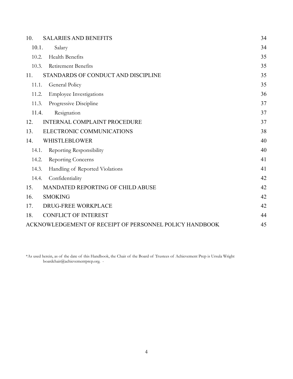| <b>SALARIES AND BENEFITS</b><br>10.                     | 34 |
|---------------------------------------------------------|----|
| 10.1.<br>Salary                                         | 34 |
| <b>Health Benefits</b><br>10.2.                         | 35 |
| Retirement Benefits<br>10.3.                            | 35 |
| STANDARDS OF CONDUCT AND DISCIPLINE<br>11.              | 35 |
| General Policy<br>11.1.                                 | 35 |
| 11.2.<br><b>Employee Investigations</b>                 | 36 |
| 11.3.<br>Progressive Discipline                         | 37 |
| 11.4.<br>Resignation                                    | 37 |
| <b>INTERNAL COMPLAINT PROCEDURE</b><br>12.              | 37 |
| ELECTRONIC COMMUNICATIONS<br>13.                        | 38 |
| <b>WHISTLEBLOWER</b><br>14.                             | 40 |
| 14.1.<br>Reporting Responsibility                       | 40 |
| Reporting Concerns<br>14.2.                             | 41 |
| 14.3.<br>Handling of Reported Violations                | 41 |
| 14.4.<br>Confidentiality                                | 42 |
| <b>MANDATED REPORTING OF CHILD ABUSE</b><br>15.         | 42 |
| <b>SMOKING</b><br>16.                                   | 42 |
| DRUG-FREE WORKPLACE<br>17.                              | 42 |
| <b>CONFLICT OF INTEREST</b><br>18.                      | 44 |
| ACKNOWLEDGEMENT OF RECEIPT OF PERSONNEL POLICY HANDBOOK | 45 |

\*As used herein, as of the date of this Handbook, the Chair of the Board of Trustees of Achievement Prep is Ursula Wright boardchair@achievementprep.org. -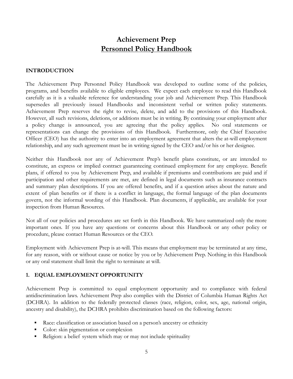# **Achievement Prep Personnel Policy Handbook**

#### <span id="page-4-0"></span>**INTRODUCTION**

The Achievement Prep Personnel Policy Handbook was developed to outline some of the policies, programs, and benefits available to eligible employees. We expect each employee to read this Handbook carefully as it is a valuable reference for understanding your job and Achievement Prep. This Handbook supersedes all previously issued Handbooks and inconsistent verbal or written policy statements. Achievement Prep reserves the right to revise, delete, and add to the provisions of this Handbook. However, all such revisions, deletions, or additions must be in writing. By continuing your employment after a policy change is announced, you are agreeing that the policy applies. No oral statements or representations can change the provisions of this Handbook. Furthermore, only the Chief Executive Officer (CEO) has the authority to enter into an employment agreement that alters the at-will employment relationship, and any such agreement must be in writing signed by the CEO and/or his or her designee.

Neither this Handbook nor any of Achievement Prep's benefit plans constitute, or are intended to constitute, an express or implied contract guaranteeing continued employment for any employee. Benefit plans, if offered to you by Achievement Prep, and available if premiums and contributions are paid and if participation and other requirements are met, are defined in legal documents such as insurance contracts and summary plan descriptions. If you are offered benefits, and if a question arises about the nature and extent of plan benefits or if there is a conflict in language, the formal language of the plan documents govern, not the informal wording of this Handbook. Plan documents, if applicable, are available for your inspection from Human Resources.

Not all of our policies and procedures are set forth in this Handbook. We have summarized only the more important ones. If you have any questions or concerns about this Handbook or any other policy or procedure, please contact Human Resources or the CEO.

Employment with Achievement Prep is at-will. This means that employment may be terminated at any time, for any reason, with or without cause or notice by you or by Achievement Prep. Nothing in this Handbook or any oral statement shall limit the right to terminate at will.

#### <span id="page-4-1"></span>**1. EQUAL EMPLOYMENT OPPORTUNITY**

Achievement Prep is committed to equal employment opportunity and to compliance with federal antidiscrimination laws. Achievement Prep also complies with the District of Columbia Human Rights Act (DCHRA). In addition to the federally protected classes (race, religion, color, sex, age, national origin, ancestry and disability), the DCHRA prohibits discrimination based on the following factors:

- Race: classification or association based on a person's ancestry or ethnicity
- Color: skin pigmentation or complexion
- Religion: a belief system which may or may not include spirituality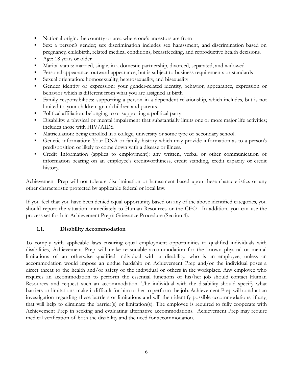- National origin: the country or area where one's ancestors are from
- Sex: a person's gender; sex discrimination includes sex harassment, and discrimination based on pregnancy, childbirth, related medical conditions, breastfeeding, and reproductive health decisions.
- Age: 18 years or older
- Marital status: married, single, in a domestic partnership, divorced, separated, and widowed
- Personal appearance: outward appearance, but is subject to business requirements or standards
- Sexual orientation: homosexuality, heterosexuality, and bisexuality
- Gender identity or expression: your gender-related identity, behavior, appearance, expression or behavior which is different from what you are assigned at birth
- Family responsibilities: supporting a person in a dependent relationship, which includes, but is not limited to, your children, grandchildren and parents.
- Political affiliation: belonging to or supporting a political party
- **•** Disability: a physical or mental impairment that substantially limits one or more major life activities; includes those with HIV/AIDS.
- Matriculation: being enrolled in a college, university or some type of secondary school.
- Genetic information: Your DNA or family history which may provide information as to a person's predisposition or likely to come down with a disease or illness.
- Credit Information (applies to employment): any written, verbal or other communication of information bearing on an employee's creditworthiness, credit standing, credit capacity or credit history.

Achievement Prep will not tolerate discrimination or harassment based upon these characteristics or any other characteristic protected by applicable federal or local law.

If you feel that you have been denied equal opportunity based on any of the above identified categories, you should report the situation immediately to Human Resources or the CEO. In addition, you can use the process set forth in Achievement Prep's Grievance Procedure (Section 4).

#### <span id="page-5-0"></span>**1.1. Disability Accommodation**

To comply with applicable laws ensuring equal employment opportunities to qualified individuals with disabilities, Achievement Prep will make reasonable accommodation for the known physical or mental limitations of an otherwise qualified individual with a disability, who is an employee, unless an accommodation would impose an undue hardship on Achievement Prep and/or the individual poses a direct threat to the health and/or safety of the individual or others in the workplace. Any employee who requires an accommodation to perform the essential functions of his/her job should contact Human Resources and request such an accommodation. The individual with the disability should specify what barriers or limitations make it difficult for him or her to perform the job. Achievement Prep will conduct an investigation regarding these barriers or limitations and will then identify possible accommodations, if any, that will help to eliminate the barrier(s) or limitation(s). The employee is required to fully cooperate with Achievement Prep in seeking and evaluating alternative accommodations. Achievement Prep may require medical verification of both the disability and the need for accommodation.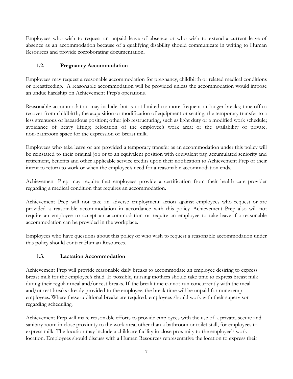Employees who wish to request an unpaid leave of absence or who wish to extend a current leave of absence as an accommodation because of a qualifying disability should communicate in writing to Human Resources and provide corroborating documentation.

# <span id="page-6-0"></span>**1.2. Pregnancy Accommodation**

Employees may request a reasonable accommodation for pregnancy, childbirth or related medical conditions or breastfeeding. A reasonable accommodation will be provided unless the accommodation would impose an undue hardship on Achievement Prep's operations.

Reasonable accommodation may include, but is not limited to: more frequent or longer breaks; time off to recover from childbirth; the acquisition or modification of equipment or seating; the temporary transfer to a less strenuous or hazardous position; other job restructuring, such as light duty or a modified work schedule; avoidance of heavy lifting; relocation of the employee's work area; or the availability of private, non-bathroom space for the expression of breast milk.

Employees who take leave or are provided a temporary transfer as an accommodation under this policy will be reinstated to their original job or to an equivalent position with equivalent pay, accumulated seniority and retirement, benefits and other applicable service credits upon their notification to Achievement Prep of their intent to return to work or when the employee's need for a reasonable accommodation ends.

Achievement Prep may require that employees provide a certification from their health care provider regarding a medical condition that requires an accommodation.

Achievement Prep will not take an adverse employment action against employees who request or are provided a reasonable accommodation in accordance with this policy. Achievement Prep also will not require an employee to accept an accommodation or require an employee to take leave if a reasonable accommodation can be provided in the workplace.

Employees who have questions about this policy or who wish to request a reasonable accommodation under this policy should contact Human Resources.

#### <span id="page-6-1"></span>**1.3. Lactation Accommodation**

Achievement Prep will provide reasonable daily breaks to accommodate an employee desiring to express breast milk for the employee's child. If possible, nursing mothers should take time to express breast milk during their regular meal and/or rest breaks. If the break time cannot run concurrently with the meal and/or rest breaks already provided to the employee, the break time will be unpaid for nonexempt employees. Where these additional breaks are required, employees should work with their supervisor regarding scheduling.

Achievement Prep will make reasonable efforts to provide employees with the use of a private, secure and sanitary room in close proximity to the work area, other than a bathroom or toilet stall, for employees to express milk. The location may include a childcare facility in close proximity to the employee's work location. Employees should discuss with a Human Resources representative the location to express their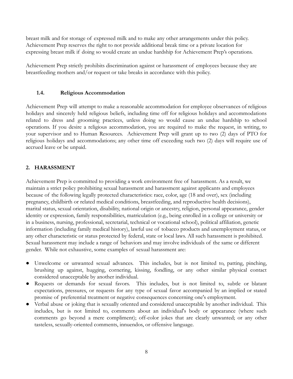breast milk and for storage of expressed milk and to make any other arrangements under this policy. Achievement Prep reserves the right to not provide additional break time or a private location for expressing breast milk if doing so would create an undue hardship for Achievement Prep's operations.

Achievement Prep strictly prohibits discrimination against or harassment of employees because they are breastfeeding mothers and/or request or take breaks in accordance with this policy.

#### <span id="page-7-0"></span>**1.4. Religious Accommodation**

Achievement Prep will attempt to make a reasonable accommodation for employee observances of religious holidays and sincerely held religious beliefs, including time off for religious holidays and accommodations related to dress and grooming practices, unless doing so would cause an undue hardship to school operations. If you desire a religious accommodation, you are required to make the request, in writing, to your supervisor and to Human Resources. Achievement Prep will grant up to two (2) days of PTO for religious holidays and accommodations; any other time off exceeding such two (2) days will require use of accrued leave or be unpaid.

#### <span id="page-7-1"></span>**2. HARASSMENT**

Achievement Prep is committed to providing a work environment free of harassment. As a result, we maintain a strict policy prohibiting sexual harassment and harassment against applicants and employees because of the following legally protected characteristics: race, color, age (18 and over), sex (including pregnancy, childbirth or related medical conditions, breastfeeding, and reproductive health decisions), marital status, sexual orientation, disability, national origin or ancestry, religion, personal appearance, gender identity or expression, family responsibilities, matriculation (e.g., being enrolled in a college or university or in a business, nursing, professional, secretarial, technical or vocational school), political affiliation, genetic information (including family medical history), lawful use of tobacco products and unemployment status, or any other characteristic or status protected by federal, state or local laws. All such harassment is prohibited. Sexual harassment may include a range of behaviors and may involve individuals of the same or different gender. While not exhaustive, some examples of sexual harassment are:

- Unwelcome or unwanted sexual advances. This includes, but is not limited to, patting, pinching, brushing up against, hugging, cornering, kissing, fondling, or any other similar physical contact considered unacceptable by another individual.
- Requests or demands for sexual favors. This includes, but is not limited to, subtle or blatant expectations, pressures, or requests for any type of sexual favor accompanied by an implied or stated promise of preferential treatment or negative consequences concerning one's employment.
- Verbal abuse or joking that is sexually oriented and considered unacceptable by another individual. This includes, but is not limited to, comments about an individual's body or appearance (where such comments go beyond a mere compliment); off-color jokes that are clearly unwanted; or any other tasteless, sexually-oriented comments, innuendos, or offensive language.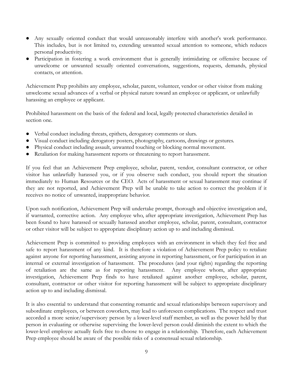- Any sexually oriented conduct that would unreasonably interfere with another's work performance. This includes, but is not limited to, extending unwanted sexual attention to someone, which reduces personal productivity.
- Participation in fostering a work environment that is generally intimidating or offensive because of unwelcome or unwanted sexually oriented conversations, suggestions, requests, demands, physical contacts, or attention.

Achievement Prep prohibits any employee, scholar, parent, volunteer, vendor or other visitor from making unwelcome sexual advances of a verbal or physical nature toward an employee or applicant, or unlawfully harassing an employee or applicant.

Prohibited harassment on the basis of the federal and local, legally protected characteristics detailed in section one.

- Verbal conduct including threats, epithets, derogatory comments or slurs.
- Visual conduct including derogatory posters, photography, cartoons, drawings or gestures.
- Physical conduct including assault, unwanted touching or blocking normal movement.
- Retaliation for making harassment reports or threatening to report harassment.

If you feel that an Achievement Prep employee, scholar, parent, vendor, consultant contractor, or other visitor has unlawfully harassed you, or if you observe such conduct, you should report the situation immediately to Human Resources or the CEO. Acts of harassment or sexual harassment may continue if they are not reported, and Achievement Prep will be unable to take action to correct the problem if it receives no notice of unwanted, inappropriate behavior.

Upon such notification, Achievement Prep will undertake prompt, thorough and objective investigation and, if warranted, corrective action. Any employee who, after appropriate investigation, Achievement Prep has been found to have harassed or sexually harassed another employee, scholar, parent, consultant, contractor or other visitor will be subject to appropriate disciplinary action up to and including dismissal.

Achievement Prep is committed to providing employees with an environment in which they feel free and safe to report harassment of any kind. It is therefore a violation of Achievement Prep policy to retaliate against anyone for reporting harassment, assisting anyone in reporting harassment, or for participation in an internal or external investigation of harassment. The procedures (and your rights) regarding the reporting of retaliation are the same as for reporting harassment. Any employee whom, after appropriate investigation, Achievement Prep finds to have retaliated against another employee, scholar, parent, consultant, contractor or other visitor for reporting harassment will be subject to appropriate disciplinary action up to and including dismissal.

It is also essential to understand that consenting romantic and sexual relationships between supervisory and subordinate employees, or between coworkers, may lead to unforeseen complications. The respect and trust accorded a more senior/supervisory person by a lower-level staff member, as well as the power held by that person in evaluating or otherwise supervising the lower-level person could diminish the extent to which the lower-level employee actually feels free to choose to engage in a relationship. Therefore, each Achievement Prep employee should be aware of the possible risks of a consensual sexual relationship.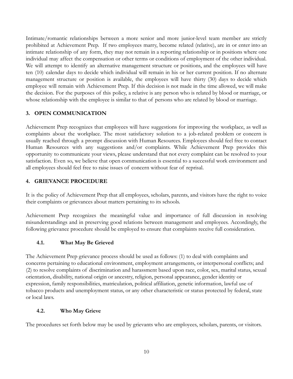Intimate/romantic relationships between a more senior and more junior-level team member are strictly prohibited at Achievement Prep. If two employees marry, become related (relative), are in or enter into an intimate relationship of any form, they may not remain in a reporting relationship or in positions where one individual may affect the compensation or other terms or conditions of employment of the other individual. We will attempt to identify an alternative management structure or positions, and the employees will have ten (10) calendar days to decide which individual will remain in his or her current position. If no alternate management structure or position is available, the employees will have thirty (30) days to decide which employee will remain with Achievement Prep. If this decision is not made in the time allowed, we will make the decision. For the purposes of this policy, a relative is any person who is related by blood or marriage, or whose relationship with the employee is similar to that of persons who are related by blood or marriage.

#### <span id="page-9-0"></span>**3. OPEN COMMUNICATION**

Achievement Prep recognizes that employees will have suggestions for improving the workplace, as well as complaints about the workplace. The most satisfactory solution to a job-related problem or concern is usually reached through a prompt discussion with Human Resources. Employees should feel free to contact Human Resources with any suggestions and/or complaints. While Achievement Prep provides this opportunity to communicate your views, please understand that not every complaint can be resolved to your satisfaction. Even so, we believe that open communication is essential to a successful work environment and all employees should feel free to raise issues of concern without fear of reprisal.

#### <span id="page-9-1"></span>**4. GRIEVANCE PROCEDURE**

It is the policy of Achievement Prep that all employees, scholars, parents, and visitors have the right to voice their complaints or grievances about matters pertaining to its schools.

Achievement Prep recognizes the meaningful value and importance of full discussion in resolving misunderstandings and in preserving good relations between management and employees. Accordingly, the following grievance procedure should be employed to ensure that complaints receive full consideration.

#### <span id="page-9-2"></span>**4.1. What May Be Grieved**

The Achievement Prep grievance process should be used as follows: (1) to deal with complaints and concerns pertaining to educational environment, employment arrangements, or interpersonal conflicts; and (2) to resolve complaints of discrimination and harassment based upon race, color, sex, marital status, sexual orientation, disability, national origin or ancestry, religion, personal appearance, gender identity or expression, family responsibilities, matriculation, political affiliation, genetic information, lawful use of tobacco products and unemployment status, or any other characteristic or status protected by federal, state or local laws.

#### <span id="page-9-3"></span>**4.2. Who May Grieve**

The procedures set forth below may be used by grievants who are employees, scholars, parents, or visitors.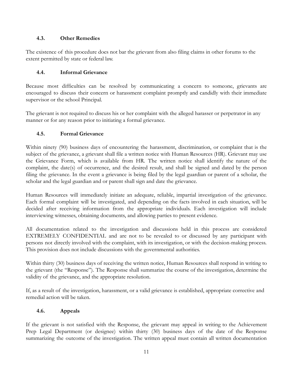#### <span id="page-10-0"></span>**4.3. Other Remedies**

The existence of this procedure does not bar the grievant from also filing claims in other forums to the extent permitted by state or federal law.

# <span id="page-10-1"></span>**4.4. Informal Grievance**

Because most difficulties can be resolved by communicating a concern to someone, grievants are encouraged to discuss their concern or harassment complaint promptly and candidly with their immediate supervisor or the school Principal.

The grievant is not required to discuss his or her complaint with the alleged harasser or perpetrator in any manner or for any reason prior to initiating a formal grievance.

#### <span id="page-10-2"></span>**4.5. Formal Grievance**

Within ninety (90) business days of encountering the harassment, discrimination, or complaint that is the subject of the grievance, a grievant shall file a written notice with Human Resources (HR). Grievant may use the Grievance Form, which is available from HR. The written notice shall identify the nature of the complaint, the date(s) of occurrence, and the desired result, and shall be signed and dated by the person filing the grievance. In the event a grievance is being filed by the legal guardian or parent of a scholar, the scholar and the legal guardian and or parent shall sign and date the grievance.

Human Resources will immediately initiate an adequate, reliable, impartial investigation of the grievance. Each formal complaint will be investigated, and depending on the facts involved in each situation, will be decided after receiving information from the appropriate individuals. Each investigation will include interviewing witnesses, obtaining documents, and allowing parties to present evidence.

All documentation related to the investigation and discussions held in this process are considered EXTREMELY CONFIDENTIAL and are not to be revealed to or discussed by any participant with persons not directly involved with the complaint, with its investigation, or with the decision-making process. This provision does not include discussions with the governmental authorities.

Within thirty (30) business days of receiving the written notice, Human Resources shall respond in writing to the grievant (the "Response"). The Response shall summarize the course of the investigation, determine the validity of the grievance, and the appropriate resolution.

If, as a result of the investigation, harassment, or a valid grievance is established, appropriate corrective and remedial action will be taken.

# <span id="page-10-3"></span>**4.6. Appeals**

If the grievant is not satisfied with the Response, the grievant may appeal in writing to the Achievement Prep Legal Department (or designee) within thirty (30) business days of the date of the Response summarizing the outcome of the investigation. The written appeal must contain all written documentation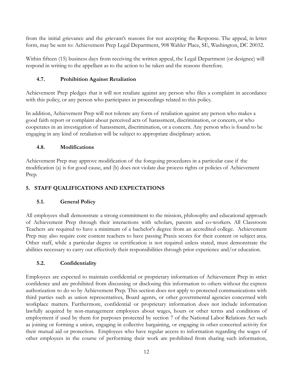from the initial grievance and the grievant's reasons for not accepting the Response. The appeal, in letter form, may be sent to: Achievement Prep Legal Department, 908 Wahler Place, SE, Washington, DC 20032.

Within fifteen (15) business days from receiving the written appeal, the Legal Department (or designee) will respond in writing to the appellant as to the action to be taken and the reasons therefore.

#### <span id="page-11-0"></span>**4.7. Prohibition Against Retaliation**

Achievement Prep pledges that it will not retaliate against any person who files a complaint in accordance with this policy, or any person who participates in proceedings related to this policy.

In addition, Achievement Prep will not tolerate any form of retaliation against any person who makes a good faith report or complaint about perceived acts of harassment, discrimination, or concern, or who cooperates in an investigation of harassment, discrimination, or a concern. Any person who is found to be engaging in any kind of retaliation will be subject to appropriate disciplinary action.

#### <span id="page-11-1"></span>**4.8. Modifications**

Achievement Prep may approve modification of the foregoing procedures in a particular case if the modification (a) is for good cause, and (b) does not violate due process rights or policies of Achievement Prep.

# <span id="page-11-2"></span>**5. STAFF QUALIFICATIONS AND EXPECTATIONS**

# <span id="page-11-3"></span>**5.1. General Policy**

All employees shall demonstrate a strong commitment to the mission, philosophy and educational approach of Achievement Prep through their interactions with scholars, parents and co-workers. All Classroom Teachers are required to have a minimum of a bachelor's degree from an accredited college. Achievement Prep may also require core content teachers to have passing Praxis scores for their content or subject area. Other staff, while a particular degree or certification is not required unless stated, must demonstrate the abilities necessary to carry out effectively their responsibilities through prior experience and/or education.

#### <span id="page-11-4"></span>**5.2. Confidentiality**

Employees are expected to maintain confidential or proprietary information of Achievement Prep in strict confidence and are prohibited from discussing or disclosing this information to others without the express authorization to do so by Achievement Prep. This section does not apply to protected communications with third parties such as union representatives, Board agents, or other governmental agencies concerned with workplace matters. Furthermore, confidential or proprietary information does not include information lawfully acquired by non-management employees about wages, hours or other terms and conditions of employment if used by them for purposes protected by section 7 of the National Labor Relations Act such as joining or forming a union, engaging in collective bargaining, or engaging in other concerted activity for their mutual aid or protection. Employees who have regular access to information regarding the wages of other employees in the course of performing their work are prohibited from sharing such information,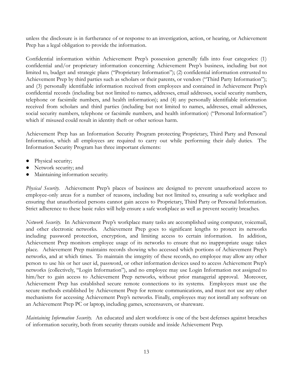unless the disclosure is in furtherance of or response to an investigation, action, or hearing, or Achievement Prep has a legal obligation to provide the information.

Confidential information within Achievement Prep's possession generally falls into four categories: (1) confidential and/or proprietary information concerning Achievement Prep's business, including but not limited to, budget and strategic plans ("Proprietary Information"); (2) confidential information entrusted to Achievement Prep by third parties such as scholars or their parents, or vendors ("Third Party Information"); and (3) personally identifiable information received from employees and contained in Achievement Prep's confidential records (including but not limited to names, addresses, email addresses, social security numbers, telephone or facsimile numbers, and health information); and (4) any personally identifiable information received from scholars and third parties (including but not limited to names, addresses, email addresses, social security numbers, telephone or facsimile numbers, and health information) ("Personal Information") which if misused could result in identity theft or other serious harm.

Achievement Prep has an Information Security Program protecting Proprietary, Third Party and Personal Information, which all employees are required to carry out while performing their daily duties. The Information Security Program has three important elements:

- Physical security;
- Network security; and
- Maintaining information security.

*Physical Security.* Achievement Prep's places of business are designed to prevent unauthorized access to employee-only areas for a number of reasons, including but not limited to, ensuring a safe workplace and ensuring that unauthorized persons cannot gain access to Proprietary, Third Party or Personal Information. Strict adherence to these basic rules will help ensure a safe workplace as well as prevent security breaches.

*Network Security.* In Achievement Prep's workplace many tasks are accomplished using computer, voicemail, and other electronic networks. Achievement Prep goes to significant lengths to protect its networks including password protection, encryption, and limiting access to certain information. In addition, Achievement Prep monitors employee usage of its networks to ensure that no inappropriate usage takes place. Achievement Prep maintains records showing who accessed which portions of Achievement Prep's networks, and at which times. To maintain the integrity of these records, no employee may allow any other person to use his or her user id, password, or other information devices used to access Achievement Prep's networks (collectively, "Login Information"), and no employee may use Login Information not assigned to him/her to gain access to Achievement Prep networks, without prior managerial approval. Moreover, Achievement Prep has established secure remote connections to its systems. Employees must use the secure methods established by Achievement Prep for remote communications, and must not use any other mechanisms for accessing Achievement Prep's networks. Finally, employees may not install any software on an Achievement Prep PC or laptop, including games, screensavers, or shareware.

*Maintaining Information Security.* An educated and alert workforce is one of the best defenses against breaches of information security, both from security threats outside and inside Achievement Prep.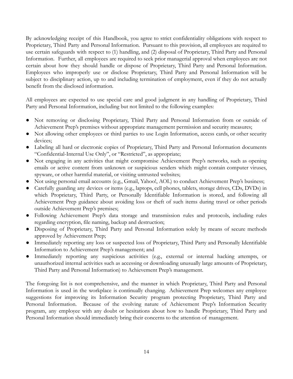By acknowledging receipt of this Handbook, you agree to strict confidentiality obligations with respect to Proprietary, Third Party and Personal Information. Pursuant to this provision, all employees are required to use certain safeguards with respect to (1) handling, and (2) disposal of Proprietary, Third Party and Personal Information. Further, all employees are required to seek prior managerial approval when employees are not certain about how they should handle or dispose of Proprietary, Third Party and Personal Information. Employees who improperly use or disclose Proprietary, Third Party and Personal Information will be subject to disciplinary action, up to and including termination of employment, even if they do not actually benefit from the disclosed information.

All employees are expected to use special care and good judgment in any handling of Proprietary, Third Party and Personal Information, including but not limited to the following examples:

- Not removing or disclosing Proprietary, Third Party and Personal Information from or outside of Achievement Prep's premises without appropriate management permission and security measures;
- Not allowing other employees or third parties to use Login Information, access cards, or other security devices;
- Labeling all hard or electronic copies of Proprietary, Third Party and Personal Information documents "Confidential-Internal Use Only", or "Restricted", as appropriate;
- Not engaging in any activities that might compromise Achievement Prep's networks, such as opening emails or active content from unknown or suspicious senders which might contain computer viruses, spyware, or other harmful material, or visiting untrusted websites;
- Not using personal email accounts (e.g., Gmail, Yahoo!, AOL) to conduct Achievement Prep's business;
- Carefully guarding any devices or items (e.g., laptops, cell phones, tablets, storage drives, CDs, DVDs) in which Proprietary, Third Party, or Personally Identifiable Information is stored, and following all Achievement Prep guidance about avoiding loss or theft of such items during travel or other periods outside Achievement Prep's premises;
- Following Achievement Prep's data storage and transmission rules and protocols, including rules regarding encryption, file naming, backup and destruction;
- Disposing of Proprietary, Third Party and Personal Information solely by means of secure methods approved by Achievement Prep;
- Immediately reporting any loss or suspected loss of Proprietary, Third Party and Personally Identifiable Information to Achievement Prep's management; and
- Immediately reporting any suspicious activities (e.g., external or internal hacking attempts, or unauthorized internal activities such as accessing or downloading unusually large amounts of Proprietary, Third Party and Personal Information) to Achievement Prep's management.

The foregoing list is not comprehensive, and the manner in which Proprietary, Third Party and Personal Information is used in the workplace is continually changing. Achievement Prep welcomes any employee suggestions for improving its Information Security program protecting Proprietary, Third Party and Personal Information. Because of the evolving nature of Achievement Prep's Information Security program, any employee with any doubt or hesitations about how to handle Proprietary, Third Party and Personal Information should immediately bring their concerns to the attention of management.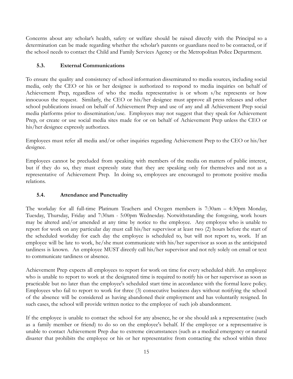Concerns about any scholar's health, safety or welfare should be raised directly with the Principal so a determination can be made regarding whether the scholar's parents or guardians need to be contacted, or if the school needs to contact the Child and Family Services Agency or the Metropolitan Police Department.

#### <span id="page-14-0"></span>**5.3. External Communications**

To ensure the quality and consistency of school information disseminated to media sources, including social media, only the CEO or his or her designee is authorized to respond to media inquiries on behalf of Achievement Prep, regardless of who the media representative is or whom s/he represents or how innocuous the request. Similarly, the CEO or his/her designee must approve all press releases and other school publications issued on behalf of Achievement Prep and use of any and all Achievement Prep social media platforms prior to dissemination/use. Employees may not suggest that they speak for Achievement Prep, or create or use social media sites made for or on behalf of Achievement Prep unless the CEO or his/her designee expressly authorizes.

Employees must refer all media and/or other inquiries regarding Achievement Prep to the CEO or his/her designee.

Employees cannot be precluded from speaking with members of the media on matters of public interest, but if they do so, they must expressly state that they are speaking only for themselves and not as a representative of Achievement Prep. In doing so, employees are encouraged to promote positive media relations.

# <span id="page-14-1"></span>**5.4. Attendance and Punctuality**

The workday for all full-time Platinum Teachers and Oxygen members is 7:30am – 4:30pm Monday, Tuesday, Thursday, Friday and 7:30am - 5:00pm Wednesday. Notwithstanding the foregoing, work hours may be altered and/or amended at any time by notice to the employee. Any employee who is unable to report for work on any particular day must call his/her supervisor at least two (2) hours before the start of the scheduled workday for each day the employee is scheduled to, but will not report to, work. If an employee will be late to work, he/she must communicate with his/her supervisor as soon as the anticipated tardiness is known. An employee MUST directly call his/her supervisor and not rely solely on email or text to communicate tardiness or absence.

Achievement Prep expects all employees to report for work on time for every scheduled shift. An employee who is unable to report to work at the designated time is required to notify his or her supervisor as soon as practicable but no later than the employee's scheduled start time in accordance with the formal leave policy. Employees who fail to report to work for three (3) consecutive business days without notifying the school of the absence will be considered as having abandoned their employment and has voluntarily resigned. In such cases, the school will provide written notice to the employee of such job abandonment.

If the employee is unable to contact the school for any absence, he or she should ask a representative (such as a family member or friend) to do so on the employee's behalf. If the employee or a representative is unable to contact Achievement Prep due to extreme circumstances (such as a medical emergency or natural disaster that prohibits the employee or his or her representative from contacting the school within three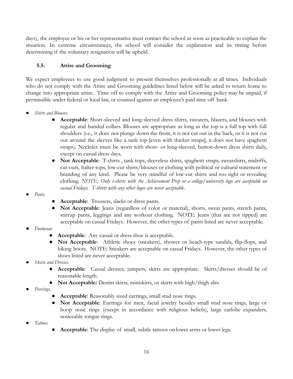days), the employee or his or her representative must contact the school as soon as practicable to explain the situation. In extreme circumstances, the school will consider the explanation and its timing before determining if the voluntary resignation will be upheld.

# <span id="page-15-0"></span>**5.5. Attire and Grooming**

We expect employees to use good judgment to present themselves professionally at all times. Individuals who do not comply with the Attire and Grooming guidelines listed below will be asked to return home to change into appropriate attire. Time off to comply with the Attire and Grooming policy may be unpaid, if permissible under federal or local law, or counted against an employee's paid time off bank.

- *Shirts and Blouses.*
	- **Acceptable**: Short-sleeved and long-sleeved dress shirts, sweaters, blazers, and blouses with regular and banded collars. Blouses are appropriate as long as the top is a full top with full shoulders (i.e., it does not plunge down the front, it is not cut out in the back, or it is not cut out around the sleeves like a tank top [even with thicker straps], it does not have spaghetti straps). Neckties must be worn with short- or long-sleeved, button-down dress shirts daily, except on casual dress days.
	- **Not Acceptable**: T-shirts , tank tops, sleeveless shirts, spaghetti straps, sweatshirts, midriffs, cut-outs, halter-tops, low-cut shirts/blouses or clothing with political or cultural statement or branding of any kind. Please be very mindful of low-cut shirts and too tight or revealing clothing. *NOTE: Only t-shirts with the Achievement Prep or a college/university logo are acceptable on casual Fridays. T-shirts with any other logos are never acceptable.*
- *Pants.*
- **Acceptable**: Trousers, slacks or dress pants.
- **Not Acceptable**: Jeans (regardless of color or material), shorts, sweat pants, stretch pants, stirrup pants, leggings and any workout clothing. NOTE: Jeans (that are not ripped) are acceptable on casual Fridays. However, the other types of pants listed are never acceptable.
- *Footwear.*
	- Acceptable: Any casual or dress shoe is acceptable.
	- **Not Acceptable**: Athletic shoes (sneakers), shower or beach-type sandals, flip-flops, and hiking boots. NOTE: Sneakers are acceptable on casual Fridays. However, the other types of shoes listed are never acceptable.
- *Skirts and Dresses.*
	- **Acceptable**: Casual dresses, jumpers, skirts are appropriate. Skirts/dresses should be of reasonable length.
	- **Not Acceptable:** Denim skirts, miniskirts, or skirts with high/thigh slits
- *Piercings.*
	- **Acceptable**: Reasonably sized earrings, small stud nose rings.
	- **Not Acceptable**: Earrings for men, facial jewelry besides small stud nose rings, large or hoop nose rings (except in accordance with religious beliefs), large earlobe expanders, noticeable tongue rings.
- *Tattoos.*
- Acceptable: The display of small, subtle tattoos on lower arms or lower legs.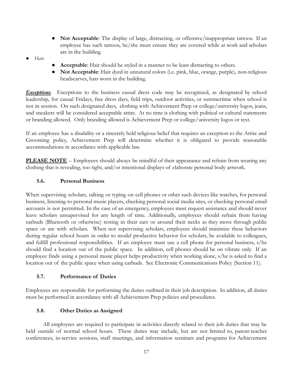- **Not Acceptable**: The display of large, distracting, or offensive/inappropriate tattoos. If an employee has such tattoos, he/she must ensure they are covered while at work and scholars are in the building.
- *Hair.*
- **Acceptable**: Hair should be styled in a manner to be least distracting to others.
- **Not Acceptable**: Hair dyed in unnatural colors (i.e. pink, blue, orange, purple), non-religious headscarves, hats worn in the building.

*Exceptions*. Exceptions to the business casual dress code may be recognized, as designated by school leadership, for casual Fridays, free dress days, field trips, outdoor activities, or summertime when school is not in session. On such designated days, clothing with Achievement Prep or college/university logos, jeans, and sneakers will be considered acceptable attire. At no time is clothing with political or cultural statements or branding allowed. Only branding allowed is Achievement Prep or college/university logos or text.

If an employee has a disability or a sincerely held religious belief that requires an exception to the Attire and Grooming policy, Achievement Prep will determine whether it is obligated to provide reasonable accommodations in accordance with applicable law.

**PLEASE NOTE** – Employees should always be mindful of their appearance and refrain from wearing any clothing that is revealing, too tight, and/or intentional displays of elaborate personal body artwork.

#### <span id="page-16-0"></span>**5.6. Personal Business**

When supervising scholars, talking or typing on cell phones or other such devices like watches, for personal business, listening to personal music players, checking personal social media sites, or checking personal email accounts is not permitted. In the case of an emergency, employees must request assistance and should never leave scholars unsupervised for any length of time. Additionally, employees should refrain from having earbuds (Bluetooth or otherwise) resting in their ears or around their necks as they move through public space or are with scholars. When not supervising scholars, employees should minimize these behaviors during regular school hours in order to model productive behavior for scholars, be available to colleagues, and fulfill professional responsibilities. If an employee must use a cell phone for personal business, s/he should find a location out of the public space. In addition, cell phones should be on vibrate only. If an employee finds using a personal music player helps productivity when working alone, s/he is asked to find a location out of the public space when using earbuds. See Electronic Communications Policy (Section 11).

#### <span id="page-16-1"></span>**5.7. Performance of Duties**

Employees are responsible for performing the duties outlined in their job description. In addition, all duties must be performed in accordance with all Achievement Prep policies and procedures.

#### <span id="page-16-2"></span>**5.8. Other Duties as Assigned**

All employees are required to participate in activities directly related to their job duties that may be held outside of normal school hours. These duties may include, but are not limited to, parent-teacher conferences, in-service sessions, staff meetings, and information seminars and programs for Achievement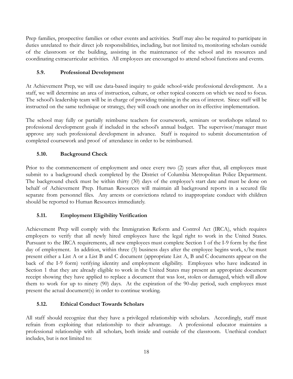Prep families, prospective families or other events and activities. Staff may also be required to participate in duties unrelated to their direct job responsibilities, including, but not limited to, monitoring scholars outside of the classroom or the building, assisting in the maintenance of the school and its resources and coordinating extracurricular activities. All employees are encouraged to attend school functions and events.

## <span id="page-17-0"></span>**5.9. Professional Development**

At Achievement Prep, we will use data-based inquiry to guide school-wide professional development. As a staff, we will determine an area of instruction, culture, or other topical concern on which we need to focus. The school's leadership team will be in charge of providing training in the area of interest. Since staff will be instructed on the same technique or strategy, they will coach one another on its effective implementation.

The school may fully or partially reimburse teachers for coursework, seminars or workshops related to professional development goals if included in the school's annual budget. The supervisor/manager must approve any such professional development in advance. Staff is required to submit documentation of completed coursework and proof of attendance in order to be reimbursed.

# <span id="page-17-1"></span>**5.10. Background Check**

Prior to the commencement of employment and once every two (2) years after that, all employees must submit to a background check completed by the District of Columbia Metropolitan Police Department. The background check must be within thirty (30) days of the employee's start date and must be done on behalf of Achievement Prep. Human Resources will maintain all background reports in a secured file separate from personnel files. Any arrests or convictions related to inappropriate conduct with children should be reported to Human Resources immediately.

#### <span id="page-17-2"></span>**5.11. Employment Eligibility Verification**

Achievement Prep will comply with the Immigration Reform and Control Act (IRCA), which requires employers to verify that all newly hired employees have the legal right to work in the United States. Pursuant to the IRCA requirements, all new employees must complete Section 1 of the I-9 form by the first day of employment. In addition, within three (3) business days after the employee begins work, s/he must present either a List A or a List B and C document (appropriate List A, B and C documents appear on the back of the I-9 form) verifying identity and employment eligibility. Employees who have indicated in Section 1 that they are already eligible to work in the United States may present an appropriate document receipt showing they have applied to replace a document that was lost, stolen or damaged, which will allow them to work for up to ninety (90) days. At the expiration of the 90-day period, such employees must present the actual document(s) in order to continue working.

#### <span id="page-17-3"></span>**5.12. Ethical Conduct Towards Scholars**

All staff should recognize that they have a privileged relationship with scholars. Accordingly, staff must refrain from exploiting that relationship to their advantage. A professional educator maintains a professional relationship with all scholars, both inside and outside of the classroom. Unethical conduct includes, but is not limited to: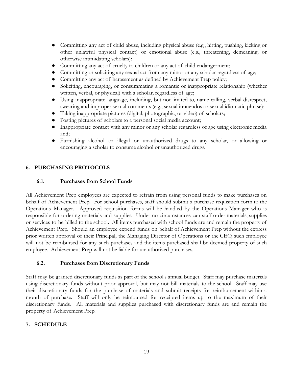- Committing any act of child abuse, including physical abuse (e.g., hitting, pushing, kicking or other unlawful physical contact) or emotional abuse (e.g., threatening, demeaning, or otherwise intimidating scholars);
- Committing any act of cruelty to children or any act of child endangerment;
- Committing or soliciting any sexual act from any minor or any scholar regardless of age;
- Committing any act of harassment as defined by Achievement Prep policy;
- Soliciting, encouraging, or consummating a romantic or inappropriate relationship (whether written, verbal, or physical) with a scholar, regardless of age;
- Using inappropriate language, including, but not limited to, name calling, verbal disrespect, swearing and improper sexual comments (e.g., sexual innuendos or sexual idiomatic phrase);
- Taking inappropriate pictures (digital, photographic, or video) of scholars;
- Posting pictures of scholars to a personal social media account;
- Inappropriate contact with any minor or any scholar regardless of age using electronic media and;
- Furnishing alcohol or illegal or unauthorized drugs to any scholar, or allowing or encouraging a scholar to consume alcohol or unauthorized drugs.

#### <span id="page-18-0"></span>**6. PURCHASING PROTOCOLS**

#### <span id="page-18-1"></span>**6.1. Purchases from School Funds**

All Achievement Prep employees are expected to refrain from using personal funds to make purchases on behalf of Achievement Prep. For school purchases, staff should submit a purchase requisition form to the Operations Manager. Approved requisition forms will be handled by the Operations Manager who is responsible for ordering materials and supplies. Under no circumstances can staff order materials, supplies or services to be billed to the school. All items purchased with school funds are and remain the property of Achievement Prep. Should an employee expend funds on behalf of Achievement Prep without the express prior written approval of their Principal, the Managing Director of Operations or the CEO, such employee will not be reimbursed for any such purchases and the items purchased shall be deemed property of such employee. Achievement Prep will not be liable for unauthorized purchases.

#### <span id="page-18-2"></span>**6.2. Purchases from Discretionary Funds**

Staff may be granted discretionary funds as part of the school's annual budget. Staff may purchase materials using discretionary funds without prior approval, but may not bill materials to the school. Staff may use their discretionary funds for the purchase of materials and submit receipts for reimbursement within a month of purchase. Staff will only be reimbursed for receipted items up to the maximum of their discretionary funds. All materials and supplies purchased with discretionary funds are and remain the property of Achievement Prep.

#### <span id="page-18-3"></span>**7. SCHEDULE**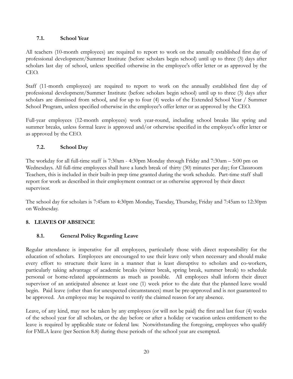#### <span id="page-19-0"></span>**7.1. School Year**

All teachers (10-month employees) are required to report to work on the annually established first day of professional development/Summer Institute (before scholars begin school) until up to three (3) days after scholars last day of school, unless specified otherwise in the employee's offer letter or as approved by the CEO.

Staff (11-month employees) are required to report to work on the annually established first day of professional development/Summer Institute (before scholars begin school) until up to three (3) days after scholars are dismissed from school, and for up to four (4) weeks of the Extended School Year / Summer School Program, unless specified otherwise in the employee's offer letter or as approved by the CEO.

Full-year employees (12-month employees) work year-round, including school breaks like spring and summer breaks, unless formal leave is approved and/or otherwise specified in the employee's offer letter or as approved by the CEO.

#### <span id="page-19-1"></span>**7.2. School Day**

The workday for all full-time staff is 7:30am - 4:30pm Monday through Friday and 7:30am – 5:00 pm on Wednesdays. All full-time employees shall have a lunch break of thirty (30) minutes per day; for Classroom Teachers, this is included in their built-in prep time granted during the work schedule. Part-time staff shall report for work as described in their employment contract or as otherwise approved by their direct supervisor.

The school day for scholars is 7:45am to 4:30pm Monday, Tuesday, Thursday, Friday and 7:45am to 12:30pm on Wednesday.

#### <span id="page-19-2"></span>**8. LEAVES OF ABSENCE**

#### <span id="page-19-3"></span>**8.1. General Policy Regarding Leave**

Regular attendance is imperative for all employees, particularly those with direct responsibility for the education of scholars. Employees are encouraged to use their leave only when necessary and should make every effort to structure their leave in a manner that is least disruptive to scholars and co-workers, particularly taking advantage of academic breaks (winter break, spring break, summer break) to schedule personal or home-related appointments as much as possible. All employees shall inform their direct supervisor of an anticipated absence at least one (1) week prior to the date that the planned leave would begin. Paid leave (other than for unexpected circumstances) must be pre-approved and is not guaranteed to be approved. An employee may be required to verify the claimed reason for any absence.

Leave, of any kind, may not be taken by any employees (or will not be paid) the first and last four (4) weeks of the school year for all scholars, or the day before or after a holiday or vacation unless entitlement to the leave is required by applicable state or federal law. Notwithstanding the foregoing, employees who qualify for FMLA leave (per Section 8.8) during these periods of the school year are exempted.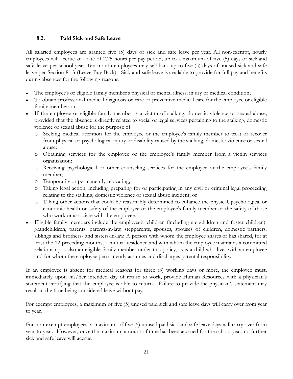#### <span id="page-20-0"></span>**8.2. Paid Sick and Safe Leave**

All salaried employees are granted five (5) days of sick and safe leave per year. All non-exempt, hourly employees will accrue at a rate of 2.25 hours per pay period, up to a maximum of five (5) days of sick and safe leave per school year. Ten-month employees may sell back up to five (5) days of unused sick and safe leave per Section 8.13 (Leave Buy Back). Sick and safe leave is available to provide for full pay and benefits during absences for the following reasons:

- The employee's or eligible family member's physical or mental illness, injury or medical condition;
- To obtain professional medical diagnosis or care or preventive medical care for the employee or eligible family member; or
- If the employee or eligible family member is a victim of stalking, domestic violence or sexual abuse; provided that the absence is directly related to social or legal services pertaining to the stalking, domestic violence or sexual abuse for the purpose of:
	- o Seeking medical attention for the employee or the employee's family member to treat or recover from physical or psychological injury or disability caused by the stalking, domestic violence or sexual abuse;
	- o Obtaining services for the employee or the employee's family member from a victim services organization;
	- o Receiving psychological or other counseling services for the employee or the employee's family member;
	- o Temporarily or permanently relocating;
	- o Taking legal action, including preparing for or participating in any civil or criminal legal proceeding relating to the stalking, domestic violence or sexual abuse incident; or
	- o Taking other actions that could be reasonably determined to enhance the physical, psychological or economic health or safety of the employee or the employee's family member or the safety of those who work or associate with the employee.
- Eligible family members include the employee's: children (including stepchildren and foster children), grandchildren, parents, parents-in-law, stepparents, spouses, spouses of children, domestic partners, siblings and brothers- and sisters-in-law. A person with whom the employee shares or has shared, for at least the 12 preceding months, a mutual residence and with whom the employee maintains a committed relationship is also an eligible family member under this policy, as is a child who lives with an employee and for whom the employee permanently assumes and discharges parental responsibility.

If an employee is absent for medical reasons for three (3) working days or more, the employee must, immediately upon his/her intended day of return to work, provide Human Resources with a physician's statement certifying that the employee is able to return. Failure to provide the physician's statement may result in the time being considered leave without pay.

For exempt employees, a maximum of five (5) unused paid sick and safe leave days will carry over from year to year.

For non-exempt employees, a maximum of five (5) unused paid sick and safe leave days will carry over from year to year. However, once the maximum amount of time has been accrued for the school year, no further sick and safe leave will accrue.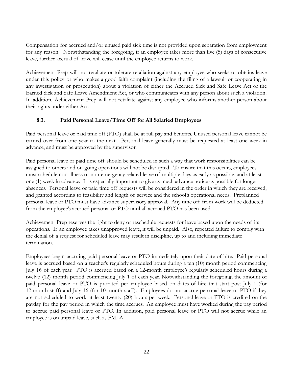Compensation for accrued and/or unused paid sick time is not provided upon separation from employment for any reason. Notwithstanding the foregoing, if an employee takes more than five (5) days of consecutive leave, further accrual of leave will cease until the employee returns to work.

Achievement Prep will not retaliate or tolerate retaliation against any employee who seeks or obtains leave under this policy or who makes a good faith complaint (including the filing of a lawsuit or cooperating in any investigation or prosecution) about a violation of either the Accrued Sick and Safe Leave Act or the Earned Sick and Safe Leave Amendment Act, or who communicates with any person about such a violation. In addition, Achievement Prep will not retaliate against any employee who informs another person about their rights under either Act.

# <span id="page-21-0"></span>**8.3. Paid Personal Leave/Time Off for All Salaried Employees**

Paid personal leave or paid time off (PTO) shall be at full pay and benefits. Unused personal leave cannot be carried over from one year to the next. Personal leave generally must be requested at least one week in advance, and must be approved by the supervisor.

Paid personal leave or paid time off should be scheduled in such a way that work responsibilities can be assigned to others and on-going operations will not be disrupted. To ensure that this occurs, employees must schedule non-illness or non-emergency related leave of multiple days as early as possible, and at least one (1) week in advance. It is especially important to give as much advance notice as possible for longer absences. Personal leave or paid time off requests will be considered in the order in which they are received, and granted according to feasibility and length of service and the school's operational needs. Preplanned personal leave or PTO must have advance supervisory approval. Any time off from work will be deducted from the employee's accrued personal or PTO until all accrued PTO has been used.

Achievement Prep reserves the right to deny or reschedule requests for leave based upon the needs of its operations. If an employee takes unapproved leave, it will be unpaid. Also, repeated failure to comply with the denial of a request for scheduled leave may result in discipline, up to and including immediate termination.

Employees begin accruing paid personal leave or PTO immediately upon their date of hire. Paid personal leave is accrued based on a teacher's regularly scheduled hours during a ten (10) month period commencing July 16 of each year. PTO is accrued based on a 12-month employee's regularly scheduled hours during a twelve (12) month period commencing July 1 of each year. Notwithstanding the foregoing, the amount of paid personal leave or PTO is prorated per employee based on dates of hire that start post July 1 (for 12-month staff) and July 16 (for 10-month staff). Employees do not accrue personal leave or PTO if they are not scheduled to work at least twenty (20) hours per week. Personal leave or PTO is credited on the payday for the pay period in which the time accrues. An employee must have worked during the pay period to accrue paid personal leave or PTO. In addition, paid personal leave or PTO will not accrue while an employee is on unpaid leave, such as FMLA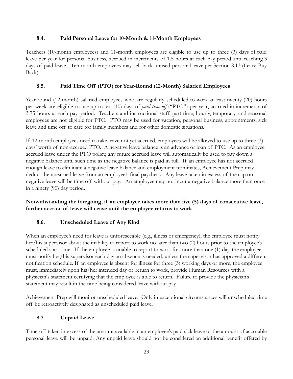#### <span id="page-22-0"></span>**8.4. Paid Personal Leave for 10-Month & 11-Month Employees**

Teachers (10-month employees) and 11-month employees are eligible to use up to three (3) days of paid leave per year for personal business, accrued in increments of 1.5 hours at each pay period until reaching 3 days of paid leave. Ten-month employees may sell back unused personal leave per Section 8.13 (Leave Buy Back).

#### <span id="page-22-1"></span>**8.5. Paid Time Off (PTO) for Year-Round (12-Month) Salaried Employees**

Year-round (12-month) salaried employees who are regularly scheduled to work at least twenty (20) hours per week are eligible to use up to ten (10) days of *paid time off* ("PTO") per year, accrued in increments of 3.75 hours at each pay period. Teachers and instructional staff, part-time, hourly, temporary, and seasonal employees are not eligible for PTO. PTO may be used for vacation, personal business, appointments, sick leave and time off to care for family members and for other domestic situations.

If 12-month employees need to take leave not yet accrued, employees will be allowed to use up to three (3) days' worth of non-accrued PTO. A negative leave balance is an advance or loan of PTO. As an employee accrued leave under the PTO policy, any future accrued leave will automatically be used to pay down a negative balance until such time as the negative balance is paid in full. If an employee has not accrued enough leave to eliminate a negative leave balance and employment terminates, Achievement Prep may deduct the unearned leave from an employee's final paycheck. Any leave taken in excess of the cap on negative leave will be time off without pay. An employee may not incur a negative balance more than once in a ninety (90) day period.

**Notwithstanding the foregoing, if an employee takes more than five (5) days of consecutive leave, further accrual of leave will cease until the employee returns to work**.

#### <span id="page-22-2"></span>**8.6. Unscheduled Leave of Any Kind**

When an employee's need for leave is unforeseeable (e.g., illness or emergency), the employee must notify her/his supervisor about the inability to report to work no later than two (2) hours prior to the employee's scheduled start time. If the employee is unable to report to work for more than one (1) day, the employee must notify her/his supervisor each day an absence is needed, unless the supervisor has approved a different notification schedule. If an employee is absent for illness for three (3) working days or more, the employee must, immediately upon his/her intended day of return to work, provide Human Resources with a physician's statement certifying that the employee is able to return. Failure to provide the physician's statement may result in the time being considered leave without pay.

Achievement Prep will monitor unscheduled leave. Only in exceptional circumstances will unscheduled time off be retroactively designated as unscheduled paid leave.

#### <span id="page-22-3"></span>**8.7. Unpaid Leave**

Time off taken in excess of the amount available in an employee's paid sick leave or the amount of accruable personal leave will be unpaid. Any unpaid leave should not be considered an additional benefit offered by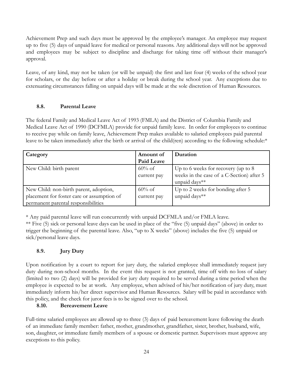Achievement Prep and such days must be approved by the employee's manager. An employee may request up to five (5) days of unpaid leave for medical or personal reasons. Any additional days will not be approved and employees may be subject to discipline and discharge for taking time off without their manager's approval.

Leave, of any kind, may not be taken (or will be unpaid) the first and last four (4) weeks of the school year for scholars, or the day before or after a holiday or break during the school year. Any exceptions due to extenuating circumstances falling on unpaid days will be made at the sole discretion of Human Resources.

#### <span id="page-23-0"></span>**8.8. Parental Leave**

The federal Family and Medical Leave Act of 1993 (FMLA) and the District of Columbia Family and Medical Leave Act of 1990 (DCFMLA) provide for unpaid family leave. In order for employees to continue to receive pay while on family leave, Achievement Prep makes available to salaried employees paid parental leave to be taken immediately after the birth or arrival of the child(ren) according to the following schedule:\*

| Category                                   | Amount of         | Duration                                  |
|--------------------------------------------|-------------------|-------------------------------------------|
|                                            | <b>Paid Leave</b> |                                           |
| New Child: birth parent                    | $60\%$ of         | Up to 6 weeks for recovery (up to $8$ )   |
|                                            | current pay       | weeks in the case of a C-Section) after 5 |
|                                            |                   | unpaid days**                             |
| New Child: non-birth parent, adoption,     | $60\%$ of         | Up to 2 weeks for bonding after 5         |
| placement for foster care or assumption of | current pay       | unpaid days**                             |
| permanent parental responsibilities        |                   |                                           |

\* Any paid parental leave will run concurrently with unpaid DCFMLA and/or FMLA leave.

\*\* Five (5) sick or personal leave days can be used in place of the "five (5) unpaid days" (above) in order to trigger the beginning of the parental leave. Also, "up to X weeks" (above) includes the five (5) unpaid or sick/personal leave days.

#### <span id="page-23-1"></span>**8.9. Jury Duty**

Upon notification by a court to report for jury duty, the salaried employee shall immediately request jury duty during non-school months. In the event this request is not granted, time off with no loss of salary (limited to two (2) days) will be provided for jury duty required to be served during a time period when the employee is expected to be at work. Any employee, when advised of his/her notification of jury duty, must immediately inform his/her direct supervisor and Human Resources. Salary will be paid in accordance with this policy, and the check for juror fees is to be signed over to the school.

#### **8.10. Bereavement Leave**

Full-time salaried employees are allowed up to three (3) days of paid bereavement leave following the death of an immediate family member: father, mother, grandmother, grandfather, sister, brother, husband, wife, son, daughter, or immediate family members of a spouse or domestic partner. Supervisors must approve any exceptions to this policy.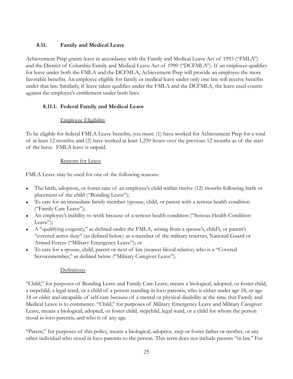# <span id="page-24-0"></span>**8.11. Family and Medical Leave**

Achievement Prep grants leave in accordance with the Family and Medical Leave Act of 1993 ("FMLA") and the District of Columbia Family and Medical Leave Act of 1990 ("DCFMLA"). If an employee qualifies for leave under both the FMLA and the DCFMLA, Achievement Prep will provide an employee the more favorable benefits. An employee eligible for family or medical leave under only one law will receive benefits under that law. Similarly, if leave taken qualifies under the FMLA and the DCFMLA, the leave used counts against the employee's entitlement under both laws.

# <span id="page-24-1"></span>**8.11.1. Federal Family and Medical Leave**

# Employee Eligibility

To be eligible for federal FMLA Leave benefits, you must: (1) have worked for Achievement Prep for a total of at least 12 months; and (2) have worked at least 1,250 hours over the previous 12 months as of the start of the leave. FMLA leave is unpaid.

# Reasons for Leave

FMLA Leave may be used for one of the following reasons:

- The birth, adoption, or foster care of an employee's child within twelve (12) months following birth or placement of the child ("Bonding Leave");
- To care for an immediate family member (spouse, child, or parent with a serious health condition ("Family Care Leave");
- An employee's inability to work because of a serious health condition ("Serious Health Condition Leave":
- A "qualifying exigency," as defined under the FMLA, arising from a spouse's, child's, or parent's "covered active duty" (as defined below) as a member of the military reserves, National Guard or Armed Forces ("Military Emergency Leave"); or
- To care for a spouse, child, parent or next of kin (nearest blood relative) who is a "Covered Servicemember," as defined below ("Military Caregiver Leave").

# **Definitions**

"Child," for purposes of Bonding Leave and Family Care Leave, means a biological, adopted, or foster child, a stepchild, a legal ward, or a child of a person standing in loco parentis, who is either under age 18, or age 18 or older and incapable of self-care because of a mental or physical disability at the time that Family and Medical Leave is to commence. "Child," for purposes of Military Emergency Leave and Military Caregiver Leave, means a biological, adopted, or foster child, stepchild, legal ward, or a child for whom the person stood in loco parentis, and who is of any age.

"Parent," for purposes of this policy, means a biological, adoptive, step or foster father or mother, or any other individual who stood in loco parentis to the person. This term does not include parents "in law." For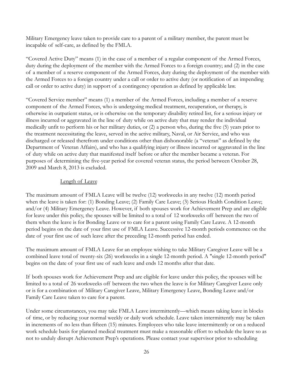Military Emergency leave taken to provide care to a parent of a military member, the parent must be incapable of self-care, as defined by the FMLA.

"Covered Active Duty" means (1) in the case of a member of a regular component of the Armed Forces, duty during the deployment of the member with the Armed Forces to a foreign country; and (2) in the case of a member of a reserve component of the Armed Forces, duty during the deployment of the member with the Armed Forces to a foreign country under a call or order to active duty (or notification of an impending call or order to active duty) in support of a contingency operation as defined by applicable law.

"Covered Service member" means (1) a member of the Armed Forces, including a member of a reserve component of the Armed Forces, who is undergoing medical treatment, recuperation, or therapy, is otherwise in outpatient status, or is otherwise on the temporary disability retired list, for a serious injury or illness incurred or aggravated in the line of duty while on active duty that may render the individual medically unfit to perform his or her military duties, or (2) a person who, during the five (5) years prior to the treatment necessitating the leave, served in the active military, Naval, or Air Service, and who was discharged or released therefrom under conditions other than dishonorable (a "veteran" as defined by the Department of Veteran Affairs), and who has a qualifying injury or illness incurred or aggravated in the line of duty while on active duty that manifested itself before or after the member became a veteran. For purposes of determining the five-year period for covered veteran status, the period between October 28, 2009 and March 8, 2013 is excluded.

#### Length of Leave

The maximum amount of FMLA Leave will be twelve (12) workweeks in any twelve (12) month period when the leave is taken for: (1) Bonding Leave; (2) Family Care Leave; (3) Serious Health Condition Leave; and/or (4) Military Emergency Leave. However, if both spouses work for Achievement Prep and are eligible for leave under this policy, the spouses will be limited to a total of 12 workweeks off between the two of them when the leave is for Bonding Leave or to care for a parent using Family Care Leave. A 12-month period begins on the date of your first use of FMLA Leave. Successive 12-month periods commence on the date of your first use of such leave after the preceding 12-month period has ended.

The maximum amount of FMLA Leave for an employee wishing to take Military Caregiver Leave will be a combined leave total of twenty-six (26) workweeks in a single 12-month period. A "single 12-month period" begins on the date of your first use of such leave and ends 12 months after that date.

If both spouses work for Achievement Prep and are eligible for leave under this policy, the spouses will be limited to a total of 26 workweeks off between the two when the leave is for Military Caregiver Leave only or is for a combination of Military Caregiver Leave, Military Emergency Leave, Bonding Leave and/or Family Care Leave taken to care for a parent.

Under some circumstances, you may take FMLA Leave intermittently—which means taking leave in blocks of time, or by reducing your normal weekly or daily work schedule. Leave taken intermittently may be taken in increments of no less than fifteen (15) minutes. Employees who take leave intermittently or on a reduced work schedule basis for planned medical treatment must make a reasonable effort to schedule the leave so as not to unduly disrupt Achievement Prep's operations. Please contact your supervisor prior to scheduling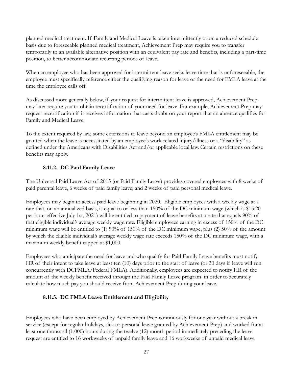planned medical treatment. If Family and Medical Leave is taken intermittently or on a reduced schedule basis due to foreseeable planned medical treatment, Achievement Prep may require you to transfer temporarily to an available alternative position with an equivalent pay rate and benefits, including a part-time position, to better accommodate recurring periods of leave.

When an employee who has been approved for intermittent leave seeks leave time that is unforeseeable, the employee must specifically reference either the qualifying reason for leave or the need for FMLA leave at the time the employee calls off.

As discussed more generally below, if your request for intermittent leave is approved, Achievement Prep may later require you to obtain recertification of your need for leave. For example, Achievement Prep may request recertification if it receives information that casts doubt on your report that an absence qualifies for Family and Medical Leave.

To the extent required by law, some extensions to leave beyond an employee's FMLA entitlement may be granted when the leave is necessitated by an employee's work-related injury/illness or a "disability" as defined under the Americans with Disabilities Act and/or applicable local law. Certain restrictions on these benefits may apply.

#### **8.11.2. DC Paid Family Leave**

<span id="page-26-0"></span>The Universal Paid Leave Act of 2015 (or Paid Family Leave) provides covered employees with 8 weeks of paid parental leave, 6 weeks of paid family leave, and 2 weeks of paid personal medical leave.

Employees may begin to access paid leave beginning in 2020. Eligible employees with a weekly wage at a rate that, on an annualized basis, is equal to or less than 150% of the DC minimum wage (which is \$15.20) per hour effective July 1st, 2021) will be entitled to payment of leave benefits at a rate that equals 90% of that eligible individual's average weekly wage rate. Eligible employees earning in excess of 150% of the DC minimum wage will be entitled to (1) 90% of 150% of the DC minimum wage, plus (2) 50% of the amount by which the eligible individual's average weekly wage rate exceeds 150% of the DC minimum wage, with a maximum weekly benefit capped at \$1,000.

Employees who anticipate the need for leave and who qualify for Paid Family Leave benefits must notify HR of their intent to take leave at least ten (10) days prior to the start of leave (or 30 days if leave will run concurrently with DCFMLA/Federal FMLA). Additionally, employees are expected to notify HR of the amount of the weekly benefit received through the Paid Family Leave program in order to accurately calculate how much pay you should receive from Achievement Prep during your leave.

#### <span id="page-26-1"></span>**8.11.3. DC FMLA Leave Entitlement and Eligibility**

Employees who have been employed by Achievement Prep continuously for one year without a break in service (except for regular holidays, sick or personal leave granted by Achievement Prep) and worked for at least one thousand (1,000) hours during the twelve (12) month period immediately preceding the leave request are entitled to 16 workweeks of unpaid family leave and 16 workweeks of unpaid medical leave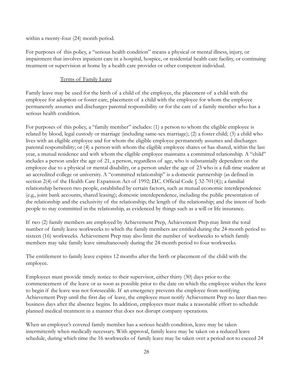within a twenty-four (24) month period.

For purposes of this policy, a "serious health condition" means a physical or mental illness, injury, or impairment that involves inpatient care in a hospital, hospice, or residential health care facility, or continuing treatment or supervision at home by a health care provider or other competent individual.

#### Terms of Family Leave

Family leave may be used for the birth of a child of the employee, the placement of a child with the employee for adoption or foster care, placement of a child with the employee for whom the employee permanently assumes and discharges parental responsibility or for the care of a family member who has a serious health condition.

For purposes of this policy, a "family member" includes: (1) a person to whom the eligible employee is related by blood, legal custody or marriage (including same-sex marriage); (2) a foster child; (3) a child who lives with an eligible employee and for whom the eligible employee permanently assumes and discharges parental responsibility; or (4) a person with whom the eligible employee shares or has shared, within the last year, a mutual residence and with whom the eligible employee maintains a committed relationship. A "child" includes a person under the age of 21, a person, regardless of age, who is substantially dependent on the employee due to a physical or mental disability, or a person under the age of 23 who is a full-time student at an accredited college or university. A "committed relationship" is a domestic partnership (as defined in section 2(4) of the Health Care Expansion Act of 1992; D.C. Official Code § 32-701(4)); a familial relationship between two people, established by certain factors, such as mutual economic interdependence (e.g., joint bank accounts, shared leasing); domestic interdependence, including the public presentation of the relationship and the exclusivity of the relationship; the length of the relationship; and the intent of both people to stay committed in the relationship, as evidenced by things such as a will or life insurance.

If two (2) family members are employed by Achievement Prep, Achievement Prep may limit the total number of family leave workweeks to which the family members are entitled during the 24-month period to sixteen (16) workweeks. Achievement Prep may also limit the number of workweeks to which family members may take family leave simultaneously during the 24-month period to four workweeks.

The entitlement to family leave expires 12 months after the birth or placement of the child with the employee.

Employees must provide timely notice to their supervisor, either thirty (30) days prior to the commencement of the leave or as soon as possible prior to the date on which the employee wishes the leave to begin if the leave was not foreseeable. If an emergency prevents the employee from notifying Achievement Prep until the first day of leave, the employee must notify Achievement Prep no later than two business days after the absence begins. In addition, employees must make a reasonable effort to schedule planned medical treatment in a manner that does not disrupt company operations.

When an employee's covered family member has a serious health condition, leave may be taken intermittently when medically necessary. With approval, family leave may be taken on a reduced leave schedule, during which time the 16 workweeks of family leave may be taken over a period not to exceed 24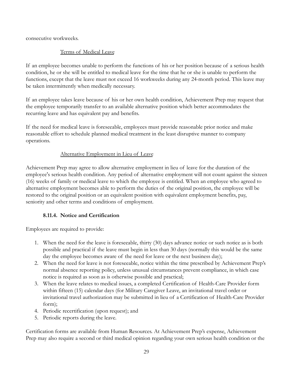consecutive workweeks.

## Terms of Medical Leave

If an employee becomes unable to perform the functions of his or her position because of a serious health condition, he or she will be entitled to medical leave for the time that he or she is unable to perform the functions, except that the leave must not exceed 16 workweeks during any 24-month period. This leave may be taken intermittently when medically necessary.

If an employee takes leave because of his or her own health condition, Achievement Prep may request that the employee temporarily transfer to an available alternative position which better accommodates the recurring leave and has equivalent pay and benefits.

If the need for medical leave is foreseeable, employees must provide reasonable prior notice and make reasonable effort to schedule planned medical treatment in the least disruptive manner to company operations.

# Alternative Employment in Lieu of Leave

Achievement Prep may agree to allow alternative employment in lieu of leave for the duration of the employee's serious health condition. Any period of alternative employment will not count against the sixteen (16) weeks of family or medical leave to which the employee is entitled. When an employee who agreed to alternative employment becomes able to perform the duties of the original position, the employee will be restored to the original position or an equivalent position with equivalent employment benefits, pay, seniority and other terms and conditions of employment.

#### **8.11.4. Notice and Certification**

<span id="page-28-0"></span>Employees are required to provide:

- 1. When the need for the leave is foreseeable, thirty (30) days advance notice or such notice as is both possible and practical if the leave must begin in less than 30 days (normally this would be the same day the employee becomes aware of the need for leave or the next business day);
- 2. When the need for leave is not foreseeable, notice within the time prescribed by Achievement Prep's normal absence reporting policy, unless unusual circumstances prevent compliance, in which case notice is required as soon as is otherwise possible and practical;
- 3. When the leave relates to medical issues, a completed Certification of Health-Care Provider form within fifteen (15) calendar days (for Military Caregiver Leave, an invitational travel order or invitational travel authorization may be submitted in lieu of a Certification of Health-Care Provider form);
- 4. Periodic recertification (upon request); and
- 5. Periodic reports during the leave.

Certification forms are available from Human Resources. At Achievement Prep's expense, Achievement Prep may also require a second or third medical opinion regarding your own serious health condition or the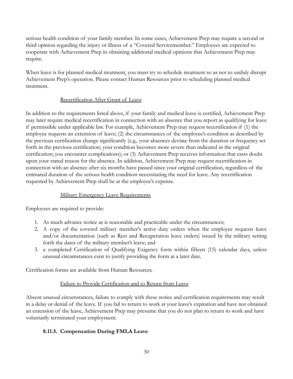serious health condition of your family member. In some cases, Achievement Prep may require a second or third opinion regarding the injury or illness of a "Covered Servicemember." Employees are expected to cooperate with Achievement Prep in obtaining additional medical opinions that Achievement Prep may require.

When leave is for planned medical treatment, you must try to schedule treatment so as not to unduly disrupt Achievement Prep's operation. Please contact Human Resources prior to scheduling planned medical treatment.

#### Recertification After Grant of Leave

In addition to the requirements listed above, if your family and medical leave is certified, Achievement Prep may later require medical recertification in connection with an absence that you report as qualifying for leave if permissible under applicable law. For example, Achievement Prep may request recertification if (1) the employee requests an extension of leave; (2) the circumstances of the employee's condition as described by the previous certification change significantly (e.g., your absences deviate from the duration or frequency set forth in the previous certification; your condition becomes more severe than indicated in the original certification; you encounter complications); or (3) Achievement Prep receives information that casts doubt upon your stated reason for the absence. In addition, Achievement Prep may request recertification in connection with an absence after six months have passed since your original certification, regardless of the estimated duration of the serious health condition necessitating the need for leave. Any recertification requested by Achievement Prep shall be at the employee's expense.

#### Military Emergency Leave Requirements

Employees are required to provide:

- 1. As much advance notice as is reasonable and practicable under the circumstances;
- 2. A copy of the covered military member's active duty orders when the employee requests leave and/or documentation (such as Rest and Recuperation leave orders) issued by the military setting forth the dates of the military member's leave; and
- 3. a completed Certification of Qualifying Exigency form within fifteen (15) calendar days, unless unusual circumstances exist to justify providing the form at a later date.

Certification forms are available from Human Resources.

#### Failure to Provide Certification and to Return from Leave

Absent unusual circumstances, failure to comply with these notice and certification requirements may result in a delay or denial of the leave. If you fail to return to work at your leave's expiration and have not obtained an extension of the leave, Achievement Prep may presume that you do not plan to return to work and have voluntarily terminated your employment.

#### <span id="page-29-0"></span>**8.11.5. Compensation During FMLA Leave**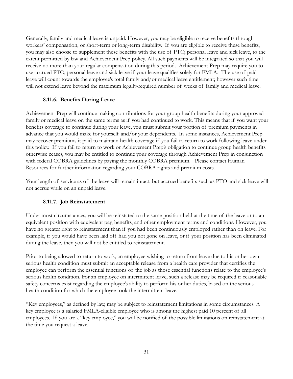Generally, family and medical leave is unpaid. However, you may be eligible to receive benefits through workers' compensation, or short-term or long-term disability. If you are eligible to receive these benefits, you may also choose to supplement these benefits with the use of PTO, personal leave and sick leave, to the extent permitted by law and Achievement Prep policy. All such payments will be integrated so that you will receive no more than your regular compensation during this period. Achievement Prep may require you to use accrued PTO, personal leave and sick leave if your leave qualifies solely for FMLA. The use of paid leave will count towards the employee's total family and/or medical leave entitlement; however such time will not extend leave beyond the maximum legally-required number of weeks of family and medical leave.

#### **8.11.6. Benefits During Leave**

<span id="page-30-0"></span>Achievement Prep will continue making contributions for your group health benefits during your approved family or medical leave on the same terms as if you had continued to work. This means that if you want your benefits coverage to continue during your leave, you must submit your portion of premium payments in advance that you would make for yourself and/or your dependents. In some instances, Achievement Prep may recover premiums it paid to maintain health coverage if you fail to return to work following leave under this policy. If you fail to return to work or Achievement Prep's obligation to continue group health benefits otherwise ceases, you may be entitled to continue your coverage through Achievement Prep in conjunction with federal COBRA guidelines by paying the monthly COBRA premium. Please contact Human Resources for further information regarding your COBRA rights and premium costs.

Your length of service as of the leave will remain intact, but accrued benefits such as PTO and sick leave will not accrue while on an unpaid leave.

#### **8.11.7. Job Reinstatement**

<span id="page-30-1"></span>Under most circumstances, you will be reinstated to the same position held at the time of the leave or to an equivalent position with equivalent pay, benefits, and other employment terms and conditions. However, you have no greater right to reinstatement than if you had been continuously employed rather than on leave. For example, if you would have been laid off had you not gone on leave, or if your position has been eliminated during the leave, then you will not be entitled to reinstatement.

Prior to being allowed to return to work, an employee wishing to return from leave due to his or her own serious health condition must submit an acceptable release from a health care provider that certifies the employee can perform the essential functions of the job as those essential functions relate to the employee's serious health condition. For an employee on intermittent leave, such a release may be required if reasonable safety concerns exist regarding the employee's ability to perform his or her duties, based on the serious health condition for which the employee took the intermittent leave.

"Key employees," as defined by law, may be subject to reinstatement limitations in some circumstances. A key employee is a salaried FMLA-eligible employee who is among the highest paid 10 percent of all employees. If you are a "key employee," you will be notified of the possible limitations on reinstatement at the time you request a leave.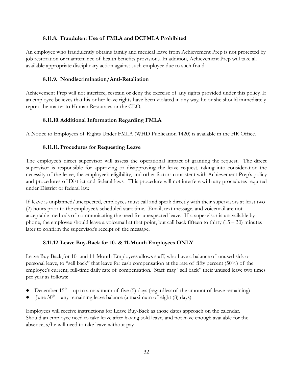#### **8.11.8. Fraudulent Use of FMLA and DCFMLA Prohibited**

<span id="page-31-0"></span>An employee who fraudulently obtains family and medical leave from Achievement Prep is not protected by job restoration or maintenance of health benefits provisions. In addition, Achievement Prep will take all available appropriate disciplinary action against such employee due to such fraud.

#### **8.11.9. Nondiscrimination/Anti-Retaliation**

<span id="page-31-1"></span>Achievement Prep will not interfere, restrain or deny the exercise of any rights provided under this policy. If an employee believes that his or her leave rights have been violated in any way, he or she should immediately report the matter to Human Resources or the CEO.

#### **8.11.10.Additional Information Regarding FMLA**

<span id="page-31-3"></span><span id="page-31-2"></span>A Notice to Employees of Rights Under FMLA (WHD Publication 1420) is available in the HR Office.

#### **8.11.11. Procedures for Requesting Leave**

The employee's direct supervisor will assess the operational impact of granting the request. The direct supervisor is responsible for approving or disapproving the leave request, taking into consideration the necessity of the leave, the employee's eligibility, and other factors consistent with Achievement Prep's policy and procedures of District and federal laws. This procedure will not interfere with any procedures required under District or federal law.

If leave is unplanned/unexpected, employees must call and speak directly with their supervisors at least two (2) hours prior to the employee's scheduled start time. Email, text message, and voicemail are not acceptable methods of communicating the need for unexpected leave. If a supervisor is unavailable by phone, the employee should leave a voicemail at that point, but call back fifteen to thirty  $(15 - 30)$  minutes later to confirm the supervisor's receipt of the message.

#### **8.11.12.Leave Buy-Back for 10- & 11-Month Employees ONLY**

<span id="page-31-4"></span>Leave Buy-Back for 10- and 11-Month Employees allows staff, who have a balance of unused sick or personal leave, to "sell back" that leave for cash compensation at the rate of fifty percent (50%) of the employee's current, full-time daily rate of compensation. Staff may "sell back" their unused leave two times per year as follows:

- December  $15<sup>th</sup>$  up to a maximum of five (5) days (regardless of the amount of leave remaining)
- June  $30<sup>th</sup>$  any remaining leave balance (a maximum of eight (8) days)

Employees will receive instructions for Leave Buy-Back as those dates approach on the calendar. Should an employee need to take leave after having sold leave, and not have enough available for the absence, s/he will need to take leave without pay.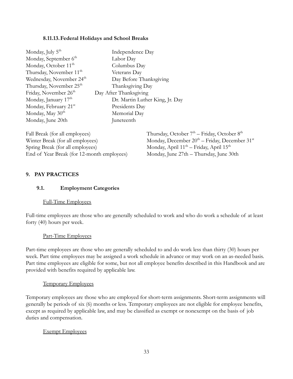#### **8.11.13.Federal Holidays and School Breaks**

<span id="page-32-0"></span>

| Monday, July 5 <sup>th</sup>         | Independence Day                |
|--------------------------------------|---------------------------------|
| Monday, September 6 <sup>th</sup>    | Labor Day                       |
| Monday, October 11 <sup>th</sup>     | Columbus Day                    |
| Thursday, November 11 <sup>th</sup>  | Veterans Day                    |
| Wednesday, November 24 <sup>th</sup> | Day Before Thanksgiving         |
| Thursday, November 25 <sup>th</sup>  | Thanksgiving Day                |
| Friday, November 26 <sup>th</sup>    | Day After Thanksgiving          |
| Monday, January 17 <sup>th</sup>     | Dr. Martin Luther King, Jr. Day |
| Monday, February 21st                | Presidents Day                  |
| Monday, May 30 <sup>th</sup>         | Memorial Day                    |
| Monday, June 20th                    | Juneteenth                      |

| Fall Break (for all employees)             | Thursday, October $7th$ – Friday, October $8th$                |
|--------------------------------------------|----------------------------------------------------------------|
| Winter Break (for all employees)           | Monday, December $20^{th}$ – Friday, December 31 <sup>st</sup> |
| Spring Break (for all employees)           | Monday, April $11^{th}$ – Friday, April $15^{th}$              |
| End of Year Break (for 12-month employees) | Monday, June 27th – Thursday, June 30th                        |

#### <span id="page-32-1"></span>**9. PAY PRACTICES**

#### <span id="page-32-2"></span>**9.1. Employment Categories**

#### Full-Time Employees

Full-time employees are those who are generally scheduled to work and who do work a schedule of at least forty (40) hours per week.

#### Part-Time Employees

Part-time employees are those who are generally scheduled to and do work less than thirty (30) hours per week. Part time employees may be assigned a work schedule in advance or may work on an as-needed basis. Part time employees are eligible for some, but not all employee benefits described in this Handbook and are provided with benefits required by applicable law.

#### Temporary Employees

Temporary employees are those who are employed for short-term assignments. Short-term assignments will generally be periods of six (6) months or less. Temporary employees are not eligible for employee benefits, except as required by applicable law, and may be classified as exempt or nonexempt on the basis of job duties and compensation.

#### Exempt Employees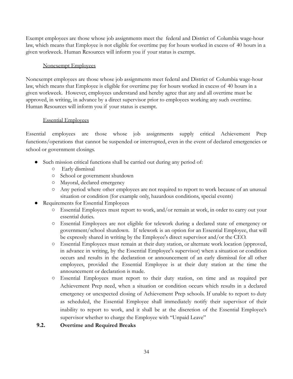Exempt employees are those whose job assignments meet the federal and District of Columbia wage-hour law, which means that Employee is not eligible for overtime pay for hours worked in excess of 40 hours in a given workweek. Human Resources will inform you if your status is exempt.

#### Nonexempt Employees

Nonexempt employees are those whose job assignments meet federal and District of Columbia wage-hour law, which means that Employee is eligible for overtime pay for hours worked in excess of 40 hours in a given workweek. However, employees understand and hereby agree that any and all overtime must be approved, in writing, in advance by a direct supervisor prior to employees working any such overtime. Human Resources will inform you if your status is exempt.

#### Essential Employees

Essential employees are those whose job assignments supply critical Achievement Prep functions/operations that cannot be suspended or interrupted, even in the event of declared emergencies or school or government closings.

- Such mission critical functions shall be carried out during any period of:
	- Early dismissal
	- School or government shutdown
	- Mayoral, declared emergency
	- Any period where other employees are not required to report to work because of an unusual situation or condition (for example only, hazardous conditions, special events)
- Requirements for Essential Employees
	- Essential Employees must report to work, and/or remain at work, in order to carry out your essential duties.
	- Essential Employees are not eligible for telework during a declared state of emergency or government/school shutdown. If telework is an option for an Essential Employee, that will be expressly shared in writing by the Employee's direct supervisor and/or the CEO.
	- Essential Employees must remain at their duty station, or alternate work location (approved, in advance in writing, by the Essential Employee's supervisor) when a situation or condition occurs and results in the declaration or announcement of an early dismissal for all other employees, provided the Essential Employee is at their duty station at the time the announcement or declaration is made.
	- Essential Employees must report to their duty station, on time and as required per Achievement Prep need, when a situation or condition occurs which results in a declared emergency or unexpected closing of Achievement Prep schools. If unable to report to duty as scheduled, the Essential Employee shall immediately notify their supervisor of their inability to report to work, and it shall be at the discretion of the Essential Employee's supervisor whether to charge the Employee with "Unpaid Leave"

#### <span id="page-33-0"></span>**9.2. Overtime and Required Breaks**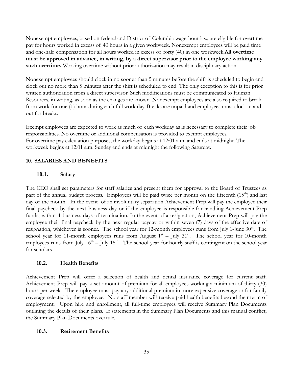Nonexempt employees, based on federal and District of Columbia wage-hour law, are eligible for overtime pay for hours worked in excess of 40 hours in a given workweek. Nonexempt employees will be paid time and one-half compensation for all hours worked in excess of forty (40) in one workweek.**All overtime must be approved in advance, in writing, by a direct supervisor prior to the employee working any such overtime.** Working overtime without prior authorization may result in disciplinary action.

Nonexempt employees should clock in no sooner than 5 minutes before the shift is scheduled to begin and clock out no more than 5 minutes after the shift is scheduled to end. The only exception to this is for prior written authorization from a direct supervisor. Such modifications must be communicated to Human Resources, in writing, as soon as the changes are known. Nonexempt employees are also required to break from work for one (1) hour during each full work day. Breaks are unpaid and employees must clock in and out for breaks.

Exempt employees are expected to work as much of each workday as is necessary to complete their job responsibilities. No overtime or additional compensation is provided to exempt employees. For overtime pay calculation purposes, the workday begins at 12:01 a.m. and ends at midnight. The workweek begins at 12:01 a.m. Sunday and ends at midnight the following Saturday.

#### <span id="page-34-0"></span>**10. SALARIES AND BENEFITS**

#### <span id="page-34-1"></span>**10.1. Salary**

The CEO shall set parameters for staff salaries and present them for approval to the Board of Trustees as part of the annual budget process. Employees will be paid twice per month on the fifteenth (15<sup>th</sup>) and last day of the month. In the event of an involuntary separation Achievement Prep will pay the employee their final paycheck by the next business day or if the employee is responsible for handling Achievement Prep funds, within 4 business days of termination. In the event of a resignation, Achievement Prep will pay the employee their final paycheck by the next regular payday or within seven (7) days of the effective date of resignation, whichever is sooner. The school year for 12-month employees runs from July 1-June 30<sup>th</sup>. The school year for 11-month employees runs from August  $1<sup>st</sup>$  – July 31<sup>st</sup>. The school year for 10-month employees runs from July  $16<sup>th</sup> -$  July  $15<sup>th</sup>$ . The school year for hourly staff is contingent on the school year for scholars.

#### <span id="page-34-2"></span>**10.2. Health Benefits**

Achievement Prep will offer a selection of health and dental insurance coverage for current staff. Achievement Prep will pay a set amount of premium for all employees working a minimum of thirty (30) hours per week. The employee must pay any additional premium in more expensive coverage or for family coverage selected by the employee. No staff member will receive paid health benefits beyond their term of employment. Upon hire and enrollment, all full-time employees will receive Summary Plan Documents outlining the details of their plans. If statements in the Summary Plan Documents and this manual conflict, the Summary Plan Documents overrule.

#### <span id="page-34-3"></span>**10.3. Retirement Benefits**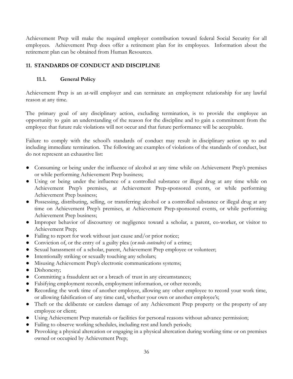Achievement Prep will make the required employer contribution toward federal Social Security for all employees. Achievement Prep does offer a retirement plan for its employees. Information about the retirement plan can be obtained from Human Resources.

# <span id="page-35-0"></span>**11. STANDARDS OF CONDUCT AND DISCIPLINE**

# <span id="page-35-1"></span>**11.1. General Policy**

Achievement Prep is an at-will employer and can terminate an employment relationship for any lawful reason at any time.

The primary goal of any disciplinary action, excluding termination, is to provide the employee an opportunity to gain an understanding of the reason for the discipline and to gain a commitment from the employee that future rule violations will not occur and that future performance will be acceptable.

Failure to comply with the school's standards of conduct may result in disciplinary action up to and including immediate termination. The following are examples of violations of the standards of conduct, but do not represent an exhaustive list:

- Consuming or being under the influence of alcohol at any time while on Achievement Prep's premises or while performing Achievement Prep business;
- Using or being under the influence of a controlled substance or illegal drug at any time while on Achievement Prep's premises, at Achievement Prep-sponsored events, or while performing Achievement Prep business;
- Possessing, distributing, selling, or transferring alcohol or a controlled substance or illegal drug at any time on Achievement Prep's premises, at Achievement Prep-sponsored events, or while performing Achievement Prep business;
- Improper behavior of discourtesy or negligence toward a scholar, a parent, co-worker, or visitor to Achievement Prep;
- Failing to report for work without just cause and/or prior notice;
- Conviction of, or the entry of a guilty plea (or *nolo contendre)* of a crime;
- Sexual harassment of a scholar, parent, Achievement Prep employee or volunteer;
- Intentionally striking or sexually touching any scholars;
- Misusing Achievement Prep's electronic communications systems;
- Dishonesty;
- Committing a fraudulent act or a breach of trust in any circumstances;
- Falsifying employment records, employment information, or other records;
- Recording the work time of another employee, allowing any other employee to record your work time, or allowing falsification of any time card, whether your own or another employee's;
- Theft or the deliberate or careless damage of any Achievement Prep property or the property of any employee or client;
- Using Achievement Prep materials or facilities for personal reasons without advance permission;
- Failing to observe working schedules, including rest and lunch periods;
- Provoking a physical altercation or engaging in a physical altercation during working time or on premises owned or occupied by Achievement Prep;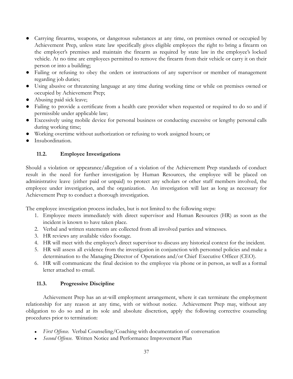- Carrying firearms, weapons, or dangerous substances at any time, on premises owned or occupied by Achievement Prep, unless state law specifically gives eligible employees the right to bring a firearm on the employer's premises and maintain the firearm as required by state law in the employee's locked vehicle. At no time are employees permitted to remove the firearm from their vehicle or carry it on their person or into a building;
- Failing or refusing to obey the orders or instructions of any supervisor or member of management regarding job duties;
- Using abusive or threatening language at any time during working time or while on premises owned or occupied by Achievement Prep;
- Abusing paid sick leave;
- Failing to provide a certificate from a health care provider when requested or required to do so and if permissible under applicable law;
- Excessively using mobile device for personal business or conducting excessive or lengthy personal calls during working time;
- Working overtime without authorization or refusing to work assigned hours; or
- Insubordination.

#### <span id="page-36-0"></span>**11.2. Employee Investigations**

Should a violation or appearance/allegation of a violation of the Achievement Prep standards of conduct result in the need for further investigation by Human Resources, the employee will be placed on administrative leave (either paid or unpaid) to protect any scholars or other staff members involved, the employee under investigation, and the organization. An investigation will last as long as necessary for Achievement Prep to conduct a thorough investigation.

The employee investigation process includes, but is not limited to the following steps:

- 1. Employee meets immediately with direct supervisor and Human Resources (HR) as soon as the incident is known to have taken place.
- 2. Verbal and written statements are collected from all involved parties and witnesses.
- 3. HR reviews any available video footage.
- 4. HR will meet with the employee's direct supervisor to discuss any historical context for the incident.
- 5. HR will assess all evidence from the investigation in conjunction with personnel policies and make a determination to the Managing Director of Operations and/or Chief Executive Officer (CEO).
- 6. HR will communicate the final decision to the employee via phone or in person, as well as a formal letter attached to email.

#### <span id="page-36-1"></span>**11.3. Progressive Discipline**

Achievement Prep has an at-will employment arrangement, where it can terminate the employment relationship for any reason at any time, with or without notice. Achievement Prep may, without any obligation to do so and at its sole and absolute discretion, apply the following corrective counseling procedures prior to termination:

- *First Offense.* Verbal Counseling/Coaching with documentation of conversation
- *Second Offense.* Written Notice and Performance Improvement Plan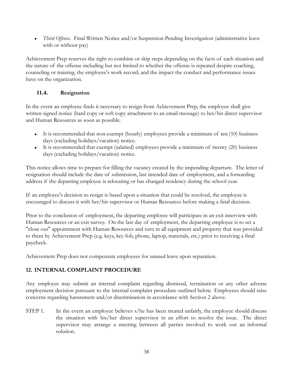• *Third Offense.* Final Written Notice and/or Suspension Pending Investigation (administrative leave with or without pay)

Achievement Prep reserves the right to combine or skip steps depending on the facts of each situation and the nature of the offense including but not limited to whether the offense is repeated despite coaching, counseling or training; the employee's work record; and the impact the conduct and performance issues have on the organization.

# <span id="page-37-0"></span>**11.4. Resignation**

In the event an employee finds it necessary to resign from Achievement Prep, the employee shall give written signed notice (hard copy or soft copy attachment to an email message) to her/his direct supervisor and Human Resources as soon as possible.

- $\bullet$  It is recommended that non-exempt (hourly) employees provide a minimum of ten (10) business days (excluding holidays/vacation) notice.
- It is recommended that exempt (salaried) employees provide a minimum of twenty (20) business days (excluding holidays/vacation) notice.

This notice allows time to prepare for filling the vacancy created by the impending departure. The letter of resignation should include the date of submission, last intended date of employment, and a forwarding address if the departing employee is relocating or has changed residency during the school year.

If an employee's decision to resign is based upon a situation that could be resolved, the employee is encouraged to discuss it with her/his supervisor or Human Resources before making a final decision.

Prior to the conclusion of employment, the departing employee will participate in an exit interview with Human Resources or an exit survey. On the last day of employment, the departing employee is to set a "close out" appointment with Human Resources and turn in all equipment and property that was provided to them by Achievement Prep (e.g. keys, key fob, phone, laptop, materials, etc.) prior to receiving a final paycheck.

Achievement Prep does not compensate employees for unused leave upon separation.

#### <span id="page-37-1"></span>**12. INTERNAL COMPLAINT PROCEDURE**

Any employee may submit an internal complaint regarding dismissal, termination or any other adverse employment decision pursuant to the internal complaint procedure outlined below. Employees should raise concerns regarding harassment and/or discrimination in accordance with Section 2 above.

STEP 1. In the event an employee believes s/he has been treated unfairly, the employee should discuss the situation with his/her direct supervisor in an effort to resolve the issue. The direct supervisor may arrange a meeting between all parties involved to work out an informal solution.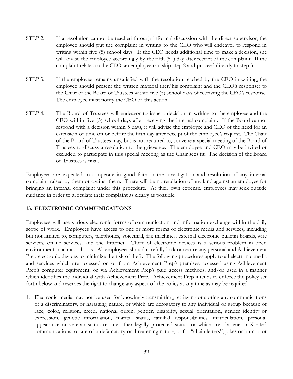- STEP 2. If a resolution cannot be reached through informal discussion with the direct supervisor, the employee should put the complaint in writing to the CEO who will endeavor to respond in writing within five (5) school days. If the CEO needs additional time to make a decision, she will advise the employee accordingly by the fifth  $(5<sup>th</sup>)$  day after receipt of the complaint. If the complaint relates to the CEO, an employee can skip step 2 and proceed directly to step 3.
- STEP 3. If the employee remains unsatisfied with the resolution reached by the CEO in writing, the employee should present the written material (her/his complaint and the CEO's response) to the Chair of the Board of Trustees within five (5) school days of receiving the CEO's response. The employee must notify the CEO of this action.
- STEP 4. The Board of Trustees will endeavor to issue a decision in writing to the employee and the CEO within five (5) school days after receiving the internal complaint. If the Board cannot respond with a decision within 5 days, it will advise the employee and CEO of the need for an extension of time on or before the fifth day after receipt of the employee's request. The Chair of the Board of Trustees may, but is not required to, convene a special meeting of the Board of Trustees to discuss a resolution to the grievance. The employee and CEO may be invited or excluded to participate in this special meeting as the Chair sees fit. The decision of the Board of Trustees is final.

Employees are expected to cooperate in good faith in the investigation and resolution of any internal complaint raised by them or against them. There will be no retaliation of any kind against an employee for bringing an internal complaint under this procedure. At their own expense, employees may seek outside guidance in order to articulate their complaint as clearly as possible.

#### <span id="page-38-0"></span>**13. ELECTRONIC COMMUNICATIONS**

Employees will use various electronic forms of communication and information exchange within the daily scope of work. Employees have access to one or more forms of electronic media and services, including but not limited to, computers, telephones, voicemail, fax machines, external electronic bulletin boards, wire services, online services, and the Internet. Theft of electronic devices is a serious problem in open environments such as schools. All employees should carefully lock or secure any personal and Achievement Prep electronic devices to minimize the risk of theft. The following procedures apply to all electronic media and services which are accessed on or from Achievement Prep's premises, accessed using Achievement Prep's computer equipment, or via Achievement Prep's paid access methods, and/or used in a manner which identifies the individual with Achievement Prep. Achievement Prep intends to enforce the policy set forth below and reserves the right to change any aspect of the policy at any time as may be required.

1. Electronic media may not be used for knowingly transmitting, retrieving or storing any communications of a discriminatory, or harassing nature, or which are derogatory to any individual or group because of race, color, religion, creed, national origin, gender, disability, sexual orientation, gender identity or expression, genetic information, marital status, familial responsibilities, matriculation, personal appearance or veteran status or any other legally protected status, or which are obscene or X-rated communications, or are of a defamatory or threatening nature, or for "chain letters", jokes or humor, or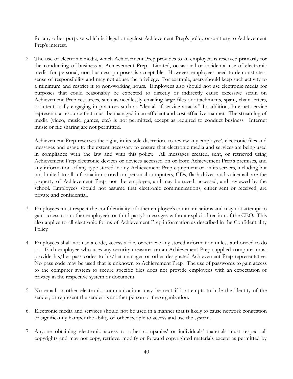for any other purpose which is illegal or against Achievement Prep's policy or contrary to Achievement Prep's interest.

2. The use of electronic media, which Achievement Prep provides to an employee, is reserved primarily for the conducting of business at Achievement Prep. Limited, occasional or incidental use of electronic media for personal, non-business purposes is acceptable. However, employees need to demonstrate a sense of responsibility and may not abuse the privilege. For example, users should keep such activity to a minimum and restrict it to non-working hours. Employees also should not use electronic media for purposes that could reasonably be expected to directly or indirectly cause excessive strain on Achievement Prep resources, such as needlessly emailing large files or attachments, spam, chain letters, or intentionally engaging in practices such as "denial of service attacks.'' In addition, Internet service represents a resource that must be managed in an efficient and cost-effective manner. The streaming of media (video, music, games, etc.) is not permitted, except as required to conduct business. Internet music or file sharing are not permitted.

Achievement Prep reserves the right, in its sole discretion, to review any employee's electronic files and messages and usage to the extent necessary to ensure that electronic media and services are being used in compliance with the law and with this policy. All messages created, sent, or retrieved using Achievement Prep electronic devices or devices accessed on or from Achievement Prep's premises, and any information of any type stored in any Achievement Prep equipment or on its servers, including but not limited to all information stored on personal computers, CDs, flash drives, and voicemail, are the property of Achievement Prep, not the employee, and may be saved, accessed, and reviewed by the school. Employees should not assume that electronic communications, either sent or received, are private and confidential.

- 3. Employees must respect the confidentiality of other employee's communications and may not attempt to gain access to another employee's or third party's messages without explicit direction of the CEO. This also applies to all electronic forms of Achievement Prep information as described in the Confidentiality Policy.
- 4. Employees shall not use a code, access a file, or retrieve any stored information unless authorized to do so. Each employee who uses any security measures on an Achievement Prep supplied computer must provide his/her pass codes to his/her manager or other designated Achievement Prep representative. No pass code may be used that is unknown to Achievement Prep. The use of passwords to gain access to the computer system to secure specific files does not provide employees with an expectation of privacy in the respective system or document.
- 5. No email or other electronic communications may be sent if it attempts to hide the identity of the sender, or represent the sender as another person or the organization.
- 6. Electronic media and services should not be used in a manner that is likely to cause network congestion or significantly hamper the ability of other people to access and use the system.
- 7. Anyone obtaining electronic access to other companies' or individuals' materials must respect all copyrights and may not copy, retrieve, modify or forward copyrighted materials except as permitted by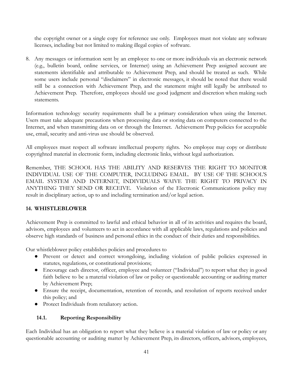the copyright owner or a single copy for reference use only. Employees must not violate any software licenses, including but not limited to making illegal copies of software.

8. Any messages or information sent by an employee to one or more individuals via an electronic network (e.g., bulletin board, online services, or Internet) using an Achievement Prep assigned account are statements identifiable and attributable to Achievement Prep, and should be treated as such. While some users include personal "disclaimers" in electronic messages, it should be noted that there would still be a connection with Achievement Prep, and the statement might still legally be attributed to Achievement Prep. Therefore, employees should use good judgment and discretion when making such statements.

Information technology security requirements shall be a primary consideration when using the Internet. Users must take adequate precautions when processing data or storing data on computers connected to the Internet, and when transmitting data on or through the Internet. Achievement Prep policies for acceptable use, email, security and anti-virus use should be observed.

All employees must respect all software intellectual property rights. No employee may copy or distribute copyrighted material in electronic form, including electronic links, without legal authorization.

Remember, THE SCHOOL HAS THE ABILITY AND RESERVES THE RIGHT TO MONITOR INDIVIDUAL USE OF THE COMPUTER, INCLUDING EMAIL. BY USE OF THE SCHOOL'S EMAIL SYSTEM AND INTERNET, INDIVIDUALS WAIVE THE RIGHT TO PRIVACY IN ANYTHING THEY SEND OR RECEIVE. Violation of the Electronic Communications policy may result in disciplinary action, up to and including termination and/or legal action.

#### <span id="page-40-0"></span>**14. WHISTLEBLOWER**

Achievement Prep is committed to lawful and ethical behavior in all of its activities and requires the board, advisors, employees and volunteers to act in accordance with all applicable laws, regulations and policies and observe high standards of business and personal ethics in the conduct of their duties and responsibilities.

Our whistleblower policy establishes policies and procedures to

- Prevent or detect and correct wrongdoing, including violation of public policies expressed in statutes, regulations, or constitutional provisions;
- Encourage each director, officer, employee and volunteer ("Individual") to report what they in good faith believe to be a material violation of law or policy or questionable accounting or auditing matter by Achievement Prep;
- Ensure the receipt, documentation, retention of records, and resolution of reports received under this policy; and
- Protect Individuals from retaliatory action.

#### <span id="page-40-1"></span>**14.1. Reporting Responsibility**

Each Individual has an obligation to report what they believe is a material violation of law or policy or any questionable accounting or auditing matter by Achievement Prep, its directors, officers, advisors, employees,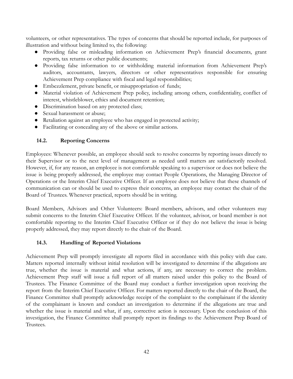volunteers, or other representatives. The types of concerns that should be reported include, for purposes of illustration and without being limited to, the following:

- Providing false or misleading information on Achievement Prep's financial documents, grant reports, tax returns or other public documents;
- Providing false information to or withholding material information from Achievement Prep's auditors, accountants, lawyers, directors or other representatives responsible for ensuring Achievement Prep compliance with fiscal and legal responsibilities;
- Embezzlement, private benefit, or misappropriation of funds;
- Material violation of Achievement Prep policy, including among others, confidentiality, conflict of interest, whistleblower, ethics and document retention;
- Discrimination based on any protected class;
- Sexual harassment or abuse;
- Retaliation against an employee who has engaged in protected activity;
- Facilitating or concealing any of the above or similar actions.

#### <span id="page-41-0"></span>**14.2. Reporting Concerns**

Employees: Whenever possible, an employee should seek to resolve concerns by reporting issues directly to their Supervisor or to the next level of management as needed until matters are satisfactorily resolved. However, if, for any reason, an employee is not comfortable speaking to a supervisor or does not believe the issue is being properly addressed, the employee may contact People Operations, the Managing Director of Operations or the Interim Chief Executive Officer. If an employee does not believe that these channels of communication can or should be used to express their concerns, an employee may contact the chair of the Board of Trustees. Whenever practical, reports should be in writing.

Board Members, Advisors and Other Volunteers: Board members, advisors, and other volunteers may submit concerns to the Interim Chief Executive Officer. If the volunteer, advisor, or board member is not comfortable reporting to the Interim Chief Executive Officer or if they do not believe the issue is being properly addressed, they may report directly to the chair of the Board.

#### <span id="page-41-1"></span>**14.3. Handling of Reported Violations**

Achievement Prep will promptly investigate all reports filed in accordance with this policy with due care. Matters reported internally without initial resolution will be investigated to determine if the allegations are true, whether the issue is material and what actions, if any, are necessary to correct the problem. Achievement Prep staff will issue a full report of all matters raised under this policy to the Board of Trustees. The Finance Committee of the Board may conduct a further investigation upon receiving the report from the Interim Chief Executive Officer. For matters reported directly to the chair of the Board, the Finance Committee shall promptly acknowledge receipt of the complaint to the complainant if the identity of the complainant is known and conduct an investigation to determine if the allegations are true and whether the issue is material and what, if any, corrective action is necessary. Upon the conclusion of this investigation, the Finance Committee shall promptly report its findings to the Achievement Prep Board of Trustees.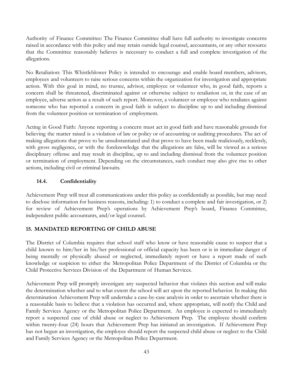Authority of Finance Committee: The Finance Committee shall have full authority to investigate concerns raised in accordance with this policy and may retain outside legal counsel, accountants, or any other resource that the Committee reasonably believes is necessary to conduct a full and complete investigation of the allegations.

No Retaliation: This Whistleblower Policy is intended to encourage and enable board members, advisors, employees and volunteers to raise serious concerns within the organization for investigation and appropriate action. With this goal in mind, no trustee, advisor, employee or volunteer who, in good faith, reports a concern shall be threatened, discriminated against or otherwise subject to retaliation or, in the case of an employee, adverse action as a result of such report. Moreover, a volunteer or employee who retaliates against someone who has reported a concern in good faith is subject to discipline up to and including dismissal from the volunteer position or termination of employment.

Acting in Good Faith: Anyone reporting a concern must act in good faith and have reasonable grounds for believing the matter raised is a violation of law or policy or of accounting or auditing procedures. The act of making allegations that prove to be unsubstantiated and that prove to have been made maliciously, recklessly, with gross negligence, or with the foreknowledge that the allegations are false, will be viewed as a serious disciplinary offense and may result in discipline, up to and including dismissal from the volunteer position or termination of employment. Depending on the circumstances, such conduct may also give rise to other actions, including civil or criminal lawsuits.

#### <span id="page-42-0"></span>**14.4. Confidentiality**

Achievement Prep will treat all communications under this policy as confidentially as possible, but may need to disclose information for business reasons, including: 1) to conduct a complete and fair investigation, or 2) for review of Achievement Prep's operations by Achievement Prep's board, Finance Committee, independent public accountants, and/or legal counsel.

#### <span id="page-42-1"></span>**15. MANDATED REPORTING OF CHILD ABUSE**

The District of Columbia requires that school staff who know or have reasonable cause to suspect that a child known to him/her in his/her professional or official capacity has been or is in immediate danger of being mentally or physically abused or neglected, immediately report or have a report made of such knowledge or suspicion to either the Metropolitan Police Department of the District of Columbia or the Child Protective Services Division of the Department of Human Services.

Achievement Prep will promptly investigate any suspected behavior that violates this section and will make the determination whether and to what extent the school will act upon the reported behavior. In making this determination Achievement Prep will undertake a case-by-case analysis in order to ascertain whether there is a reasonable basis to believe that a violation has occurred and, where appropriate, will notify the Child and Family Services Agency or the Metropolitan Police Department. An employee is expected to immediately report a suspected case of child abuse or neglect to Achievement Prep. The employee should confirm within twenty-four (24) hours that Achievement Prep has initiated an investigation. If Achievement Prep has not begun an investigation, the employee should report the suspected child abuse or neglect to the Child and Family Services Agency or the Metropolitan Police Department.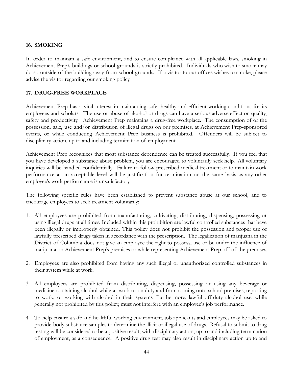#### <span id="page-43-0"></span>**16. SMOKING**

In order to maintain a safe environment, and to ensure compliance with all applicable laws, smoking in Achievement Prep's buildings or school grounds is strictly prohibited. Individuals who wish to smoke may do so outside of the building away from school grounds. If a visitor to our offices wishes to smoke, please advise the visitor regarding our smoking policy.

#### <span id="page-43-1"></span>**17. DRUG-FREE WORKPLACE**

Achievement Prep has a vital interest in maintaining safe, healthy and efficient working conditions for its employees and scholars. The use or abuse of alcohol or drugs can have a serious adverse effect on quality, safety and productivity. Achievement Prep maintains a drug-free workplace. The consumption of or the possession, sale, use and/or distribution of illegal drugs on our premises, at Achievement Prep-sponsored events, or while conducting Achievement Prep business is prohibited. Offenders will be subject to disciplinary action, up to and including termination of employment.

Achievement Prep recognizes that most substance dependence can be treated successfully. If you feel that you have developed a substance abuse problem, you are encouraged to voluntarily seek help. All voluntary inquiries will be handled confidentially. Failure to follow prescribed medical treatment or to maintain work performance at an acceptable level will be justification for termination on the same basis as any other employee's work performance is unsatisfactory.

The following specific rules have been established to prevent substance abuse at our school, and to encourage employees to seek treatment voluntarily:

- 1. All employees are prohibited from manufacturing, cultivating, distributing, dispensing, possessing or using illegal drugs at all times. Included within this prohibition are lawful controlled substances that have been illegally or improperly obtained. This policy does not prohibit the possession and proper use of lawfully prescribed drugs taken in accordance with the prescription. The legalization of marijuana in the District of Columbia does not give an employee the right to possess, use or be under the influence of marijuana on Achievement Prep's premises or while representing Achievement Prep off of the premises.
- 2. Employees are also prohibited from having any such illegal or unauthorized controlled substances in their system while at work.
- 3. All employees are prohibited from distributing, dispensing, possessing or using any beverage or medicine containing alcohol while at work or on duty and from coming onto school premises, reporting to work, or working with alcohol in their systems. Furthermore, lawful off-duty alcohol use, while generally not prohibited by this policy, must not interfere with an employee's job performance.
- 4. To help ensure a safe and healthful working environment, job applicants and employees may be asked to provide body substance samples to determine the illicit or illegal use of drugs. Refusal to submit to drug testing will be considered to be a positive result, with disciplinary action, up to and including termination of employment, as a consequence. A positive drug test may also result in disciplinary action up to and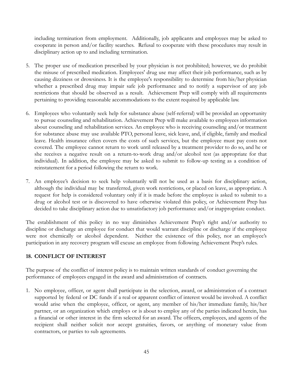including termination from employment. Additionally, job applicants and employees may be asked to cooperate in person and/or facility searches. Refusal to cooperate with these procedures may result in disciplinary action up to and including termination.

- 5. The proper use of medication prescribed by your physician is not prohibited; however, we do prohibit the misuse of prescribed medication. Employees' drug use may affect their job performance, such as by causing dizziness or drowsiness. It is the employee's responsibility to determine from his/her physician whether a prescribed drug may impair safe job performance and to notify a supervisor of any job restrictions that should be observed as a result. Achievement Prep will comply with all requirements pertaining to providing reasonable accommodations to the extent required by applicable law.
- 6. Employees who voluntarily seek help for substance abuse (self-referral) will be provided an opportunity to pursue counseling and rehabilitation. Achievement Prep will make available to employees information about counseling and rehabilitation services. An employee who is receiving counseling and/or treatment for substance abuse may use available PTO, personal leave, sick leave, and, if eligible, family and medical leave. Health insurance often covers the costs of such services, but the employee must pay costs not covered. The employee cannot return to work until released by a treatment provider to do so, and he or she receives a negative result on a return-to-work drug and/or alcohol test (as appropriate for that individual). In addition, the employee may be asked to submit to follow-up testing as a condition of reinstatement for a period following the return to work.
- 7. An employee's decision to seek help voluntarily will not be used as a basis for disciplinary action, although the individual may be transferred, given work restrictions, or placed on leave, as appropriate. A request for help is considered voluntary only if it is made before the employee is asked to submit to a drug or alcohol test or is discovered to have otherwise violated this policy, or Achievement Prep has decided to take disciplinary action due to unsatisfactory job performance and/or inappropriate conduct.

The establishment of this policy in no way diminishes Achievement Prep's right and/or authority to discipline or discharge an employee for conduct that would warrant discipline or discharge if the employee were not chemically or alcohol dependent. Neither the existence of this policy, nor an employee's participation in any recovery program will excuse an employee from following Achievement Prep's rules.

#### <span id="page-44-0"></span>**18. CONFLICT OF INTEREST**

The purpose of the conflict of interest policy is to maintain written standards of conduct governing the performance of employees engaged in the award and administration of contracts.

1. No employee, officer, or agent shall participate in the selection, award, or administration of a contract supported by federal or DC funds if a real or apparent conflict of interest would be involved. A conflict would arise when the employee, officer, or agent, any member of his/her immediate family, his/her partner, or an organization which employs or is about to employ any of the parties indicated herein, has a financial or other interest in the firm selected for an award. The officers, employees, and agents of the recipient shall neither solicit nor accept gratuities, favors, or anything of monetary value from contractors, or parties to sub agreements.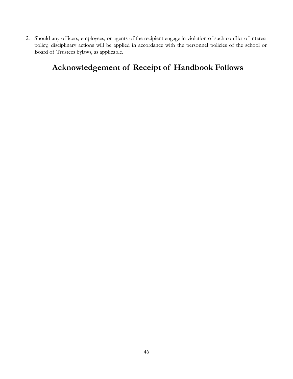2. Should any officers, employees, or agents of the recipient engage in violation of such conflict of interest policy, disciplinary actions will be applied in accordance with the personnel policies of the school or Board of Trustees bylaws, as applicable.

# **Acknowledgement of Receipt of Handbook Follows**